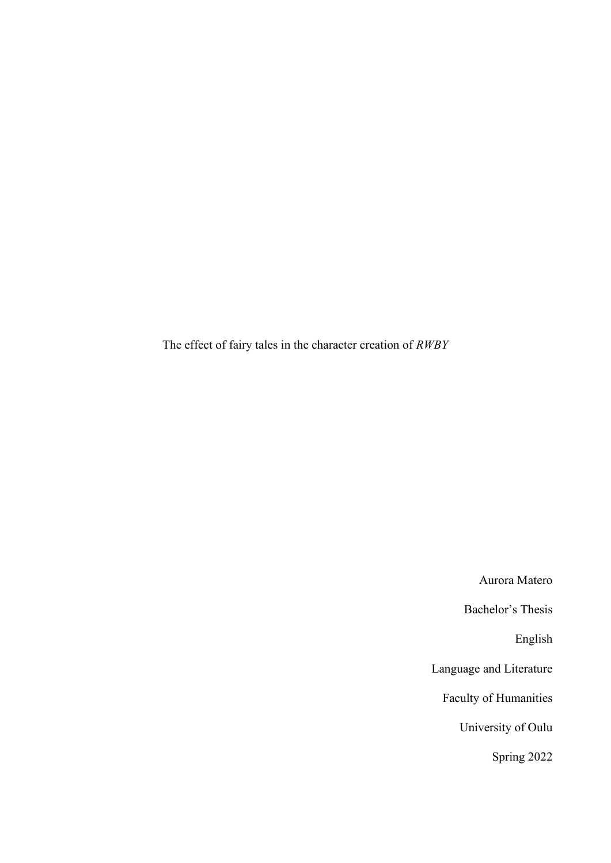The effect of fairy tales in the character creation of *RWBY*

Aurora Matero Bachelor's Thesis English Language and Literature Faculty of Humanities University of Oulu

Spring 2022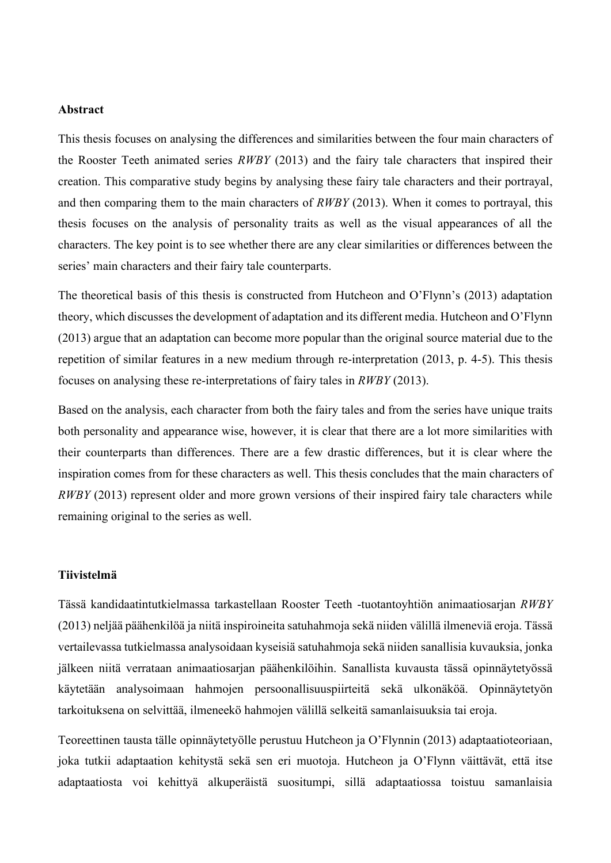# **Abstract**

This thesis focuses on analysing the differences and similarities between the four main characters of the Rooster Teeth animated series *RWBY* (2013) and the fairy tale characters that inspired their creation. This comparative study begins by analysing these fairy tale characters and their portrayal, and then comparing them to the main characters of *RWBY* (2013). When it comes to portrayal, this thesis focuses on the analysis of personality traits as well as the visual appearances of all the characters. The key point is to see whether there are any clear similarities or differences between the series' main characters and their fairy tale counterparts.

The theoretical basis of this thesis is constructed from Hutcheon and O'Flynn's (2013) adaptation theory, which discusses the development of adaptation and its different media. Hutcheon and O'Flynn (2013) argue that an adaptation can become more popular than the original source material due to the repetition of similar features in a new medium through re-interpretation (2013, p. 4-5). This thesis focuses on analysing these re-interpretations of fairy tales in *RWBY* (2013).

Based on the analysis, each character from both the fairy tales and from the series have unique traits both personality and appearance wise, however, it is clear that there are a lot more similarities with their counterparts than differences. There are a few drastic differences, but it is clear where the inspiration comes from for these characters as well. This thesis concludes that the main characters of *RWBY* (2013) represent older and more grown versions of their inspired fairy tale characters while remaining original to the series as well.

#### **Tiivistelmä**

Tässä kandidaatintutkielmassa tarkastellaan Rooster Teeth -tuotantoyhtiön animaatiosarjan *RWBY* (2013) neljää päähenkilöä ja niitä inspiroineita satuhahmoja sekä niiden välillä ilmeneviä eroja. Tässä vertailevassa tutkielmassa analysoidaan kyseisiä satuhahmoja sekä niiden sanallisia kuvauksia, jonka jälkeen niitä verrataan animaatiosarjan päähenkilöihin. Sanallista kuvausta tässä opinnäytetyössä käytetään analysoimaan hahmojen persoonallisuuspiirteitä sekä ulkonäköä. Opinnäytetyön tarkoituksena on selvittää, ilmeneekö hahmojen välillä selkeitä samanlaisuuksia tai eroja.

Teoreettinen tausta tälle opinnäytetyölle perustuu Hutcheon ja O'Flynnin (2013) adaptaatioteoriaan, joka tutkii adaptaation kehitystä sekä sen eri muotoja. Hutcheon ja O'Flynn väittävät, että itse adaptaatiosta voi kehittyä alkuperäistä suositumpi, sillä adaptaatiossa toistuu samanlaisia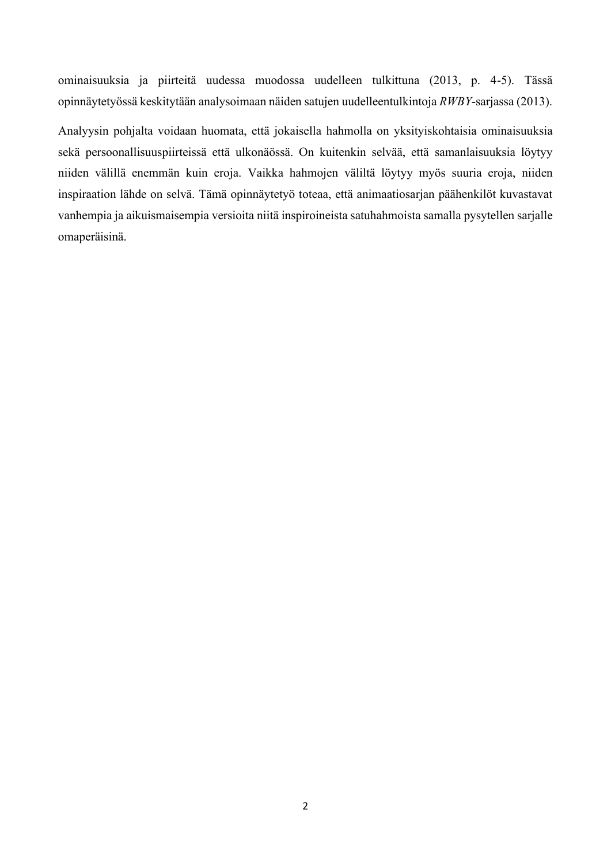ominaisuuksia ja piirteitä uudessa muodossa uudelleen tulkittuna (2013, p. 4-5). Tässä opinnäytetyössä keskitytään analysoimaan näiden satujen uudelleentulkintoja *RWBY*-sarjassa (2013).

Analyysin pohjalta voidaan huomata, että jokaisella hahmolla on yksityiskohtaisia ominaisuuksia sekä persoonallisuuspiirteissä että ulkonäössä. On kuitenkin selvää, että samanlaisuuksia löytyy niiden välillä enemmän kuin eroja. Vaikka hahmojen väliltä löytyy myös suuria eroja, niiden inspiraation lähde on selvä. Tämä opinnäytetyö toteaa, että animaatiosarjan päähenkilöt kuvastavat vanhempia ja aikuismaisempia versioita niitä inspiroineista satuhahmoista samalla pysytellen sarjalle omaperäisinä.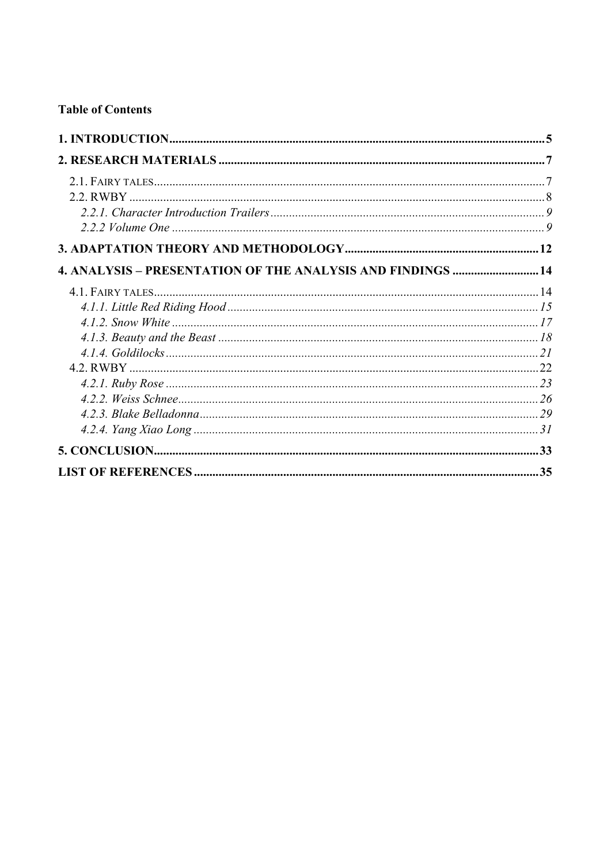# **Table of Contents**

| 4. ANALYSIS - PRESENTATION OF THE ANALYSIS AND FINDINGS  14 |  |
|-------------------------------------------------------------|--|
|                                                             |  |
|                                                             |  |
|                                                             |  |
|                                                             |  |
|                                                             |  |
|                                                             |  |
|                                                             |  |
|                                                             |  |
|                                                             |  |
|                                                             |  |
|                                                             |  |
|                                                             |  |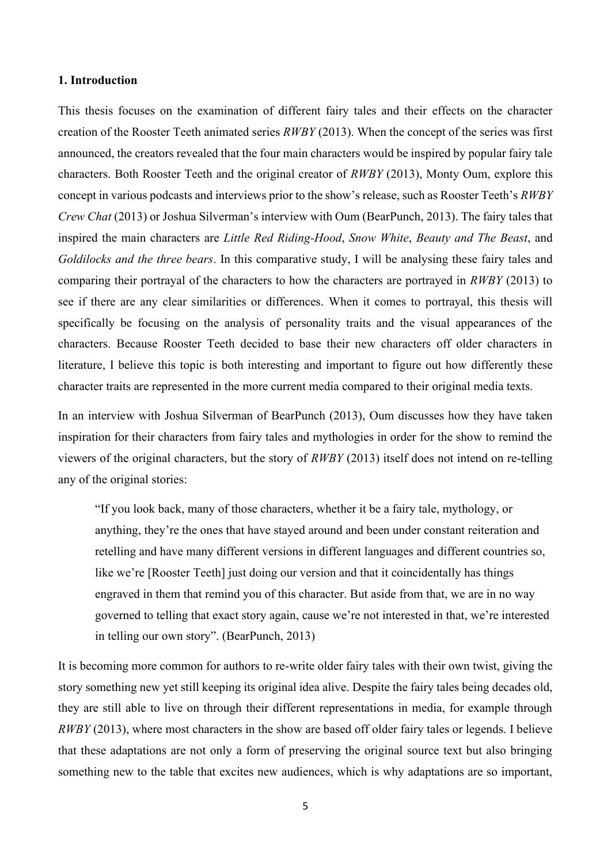# <span id="page-4-0"></span>**1. Introduction**

This thesis focuses on the examination of different fairy tales and their effects on the character creation of the Rooster Teeth animated series *RWBY* (2013). When the concept of the series was first announced, the creators revealed that the four main characters would be inspired by popular fairy tale characters. Both Rooster Teeth and the original creator of *RWBY* (2013), Monty Oum, explore this concept in various podcasts and interviews prior to the show's release, such as Rooster Teeth's *RWBY Crew Chat* (2013) or Joshua Silverman's interview with Oum (BearPunch, 2013). The fairy tales that inspired the main characters are *Little Red Riding-Hood*, *Snow White*, *Beauty and The Beast*, and *Goldilocks and the three bears*. In this comparative study, I will be analysing these fairy tales and comparing their portrayal of the characters to how the characters are portrayed in *RWBY* (2013) to see if there are any clear similarities or differences. When it comes to portrayal, this thesis will specifically be focusing on the analysis of personality traits and the visual appearances of the characters. Because Rooster Teeth decided to base their new characters off older characters in literature, I believe this topic is both interesting and important to figure out how differently these character traits are represented in the more current media compared to their original media texts.

In an interview with Joshua Silverman of BearPunch (2013), Oum discusses how they have taken inspiration for their characters from fairy tales and mythologies in order for the show to remind the viewers of the original characters, but the story of *RWBY* (2013) itself does not intend on re-telling any of the original stories:

"If you look back, many of those characters, whether it be a fairy tale, mythology, or anything, they're the ones that have stayed around and been under constant reiteration and retelling and have many different versions in different languages and different countries so, like we're [Rooster Teeth] just doing our version and that it coincidentally has things engraved in them that remind you of this character. But aside from that, we are in no way governed to telling that exact story again, cause we're not interested in that, we're interested in telling our own story". (BearPunch, 2013)

It is becoming more common for authors to re-write older fairy tales with their own twist, giving the story something new yet still keeping its original idea alive. Despite the fairy tales being decades old, they are still able to live on through their different representations in media, for example through *RWBY* (2013), where most characters in the show are based off older fairy tales or legends. I believe that these adaptations are not only a form of preserving the original source text but also bringing something new to the table that excites new audiences, which is why adaptations are so important,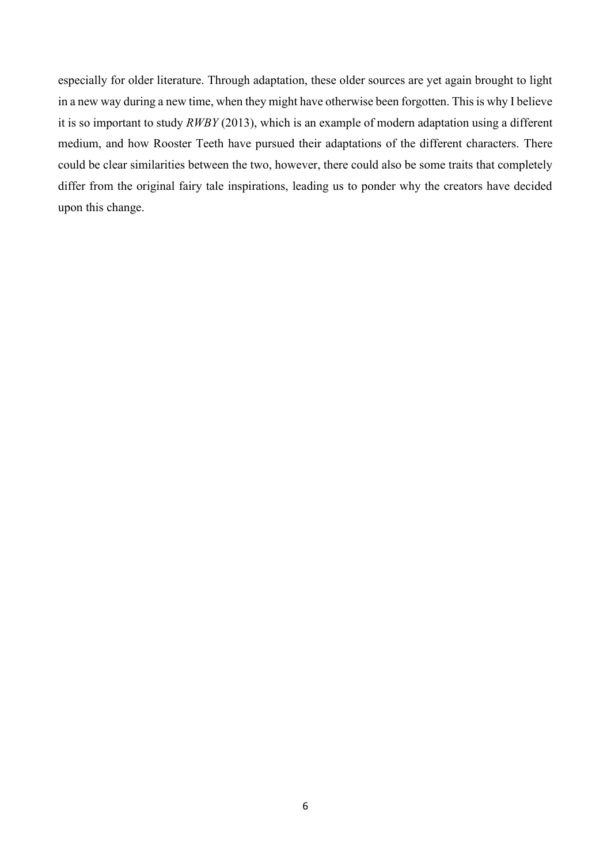especially for older literature. Through adaptation, these older sources are yet again brought to light in a new way during a new time, when they might have otherwise been forgotten. This is why I believe it is so important to study *RWBY* (2013), which is an example of modern adaptation using a different medium, and how Rooster Teeth have pursued their adaptations of the different characters. There could be clear similarities between the two, however, there could also be some traits that completely differ from the original fairy tale inspirations, leading us to ponder why the creators have decided upon this change.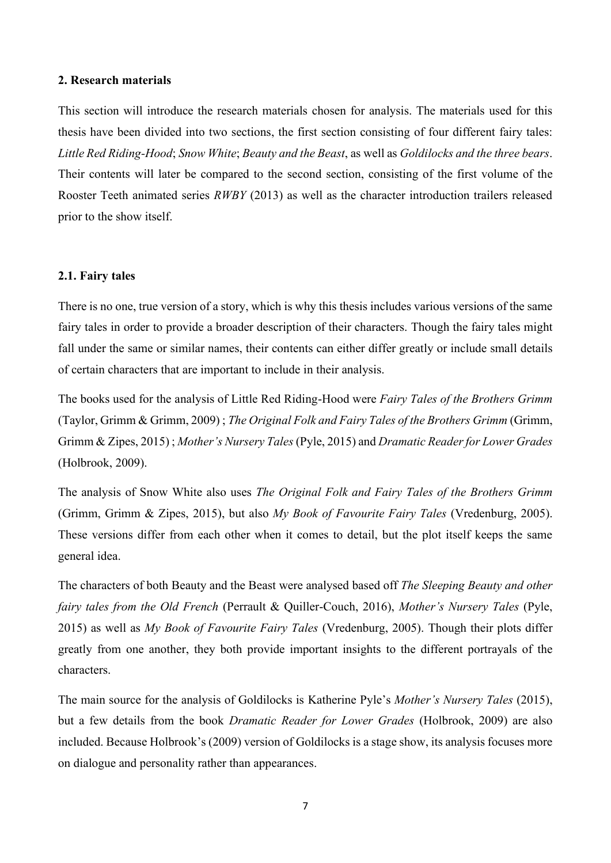# <span id="page-6-0"></span>**2. Research materials**

This section will introduce the research materials chosen for analysis. The materials used for this thesis have been divided into two sections, the first section consisting of four different fairy tales: *Little Red Riding-Hood*; *Snow White*; *Beauty and the Beast*, as well as *Goldilocks and the three bears*. Their contents will later be compared to the second section, consisting of the first volume of the Rooster Teeth animated series *RWBY* (2013) as well as the character introduction trailers released prior to the show itself.

# <span id="page-6-1"></span>**2.1. Fairy tales**

There is no one, true version of a story, which is why this thesis includes various versions of the same fairy tales in order to provide a broader description of their characters. Though the fairy tales might fall under the same or similar names, their contents can either differ greatly or include small details of certain characters that are important to include in their analysis.

The books used for the analysis of Little Red Riding-Hood were *Fairy Tales of the Brothers Grimm* (Taylor, Grimm & Grimm, 2009) ; *The Original Folk and Fairy Tales of the Brothers Grimm* (Grimm, Grimm & Zipes, 2015) ; *Mother's Nursery Tales*(Pyle, 2015) and *Dramatic Reader for Lower Grades* (Holbrook, 2009).

The analysis of Snow White also uses *The Original Folk and Fairy Tales of the Brothers Grimm* (Grimm, Grimm & Zipes, 2015), but also *My Book of Favourite Fairy Tales* (Vredenburg, 2005). These versions differ from each other when it comes to detail, but the plot itself keeps the same general idea.

The characters of both Beauty and the Beast were analysed based off *The Sleeping Beauty and other fairy tales from the Old French* (Perrault & Quiller-Couch, 2016), *Mother's Nursery Tales* (Pyle, 2015) as well as *My Book of Favourite Fairy Tales* (Vredenburg, 2005). Though their plots differ greatly from one another, they both provide important insights to the different portrayals of the characters.

The main source for the analysis of Goldilocks is Katherine Pyle's *Mother's Nursery Tales* (2015), but a few details from the book *Dramatic Reader for Lower Grades* (Holbrook, 2009) are also included. Because Holbrook's (2009) version of Goldilocks is a stage show, its analysis focuses more on dialogue and personality rather than appearances.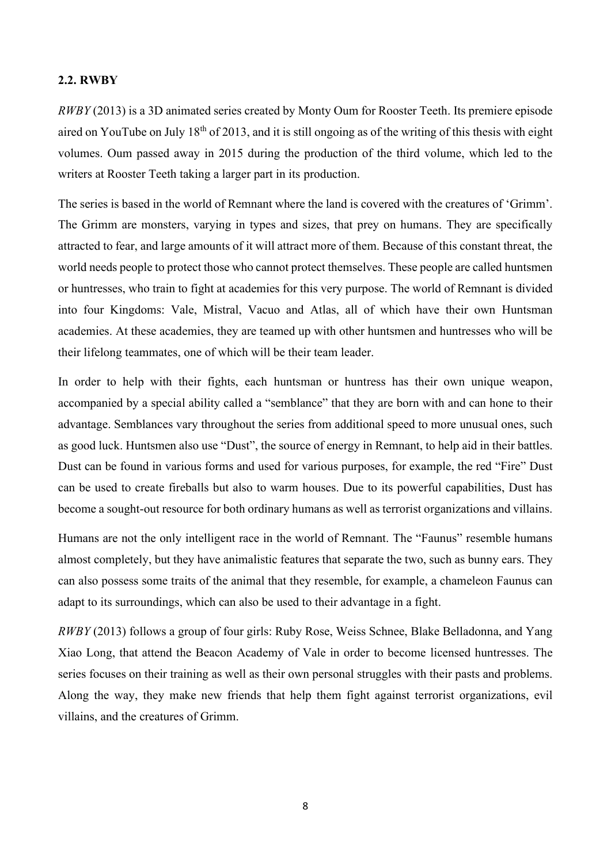# <span id="page-7-0"></span>**2.2. RWBY**

*RWBY* (2013) is a 3D animated series created by Monty Oum for Rooster Teeth. Its premiere episode aired on YouTube on July 18th of 2013, and it is still ongoing as of the writing of this thesis with eight volumes. Oum passed away in 2015 during the production of the third volume, which led to the writers at Rooster Teeth taking a larger part in its production.

The series is based in the world of Remnant where the land is covered with the creatures of 'Grimm'. The Grimm are monsters, varying in types and sizes, that prey on humans. They are specifically attracted to fear, and large amounts of it will attract more of them. Because of this constant threat, the world needs people to protect those who cannot protect themselves. These people are called huntsmen or huntresses, who train to fight at academies for this very purpose. The world of Remnant is divided into four Kingdoms: Vale, Mistral, Vacuo and Atlas, all of which have their own Huntsman academies. At these academies, they are teamed up with other huntsmen and huntresses who will be their lifelong teammates, one of which will be their team leader.

In order to help with their fights, each huntsman or huntress has their own unique weapon, accompanied by a special ability called a "semblance" that they are born with and can hone to their advantage. Semblances vary throughout the series from additional speed to more unusual ones, such as good luck. Huntsmen also use "Dust", the source of energy in Remnant, to help aid in their battles. Dust can be found in various forms and used for various purposes, for example, the red "Fire" Dust can be used to create fireballs but also to warm houses. Due to its powerful capabilities, Dust has become a sought-out resource for both ordinary humans as well as terrorist organizations and villains.

Humans are not the only intelligent race in the world of Remnant. The "Faunus" resemble humans almost completely, but they have animalistic features that separate the two, such as bunny ears. They can also possess some traits of the animal that they resemble, for example, a chameleon Faunus can adapt to its surroundings, which can also be used to their advantage in a fight.

*RWBY* (2013) follows a group of four girls: Ruby Rose, Weiss Schnee, Blake Belladonna, and Yang Xiao Long, that attend the Beacon Academy of Vale in order to become licensed huntresses. The series focuses on their training as well as their own personal struggles with their pasts and problems. Along the way, they make new friends that help them fight against terrorist organizations, evil villains, and the creatures of Grimm.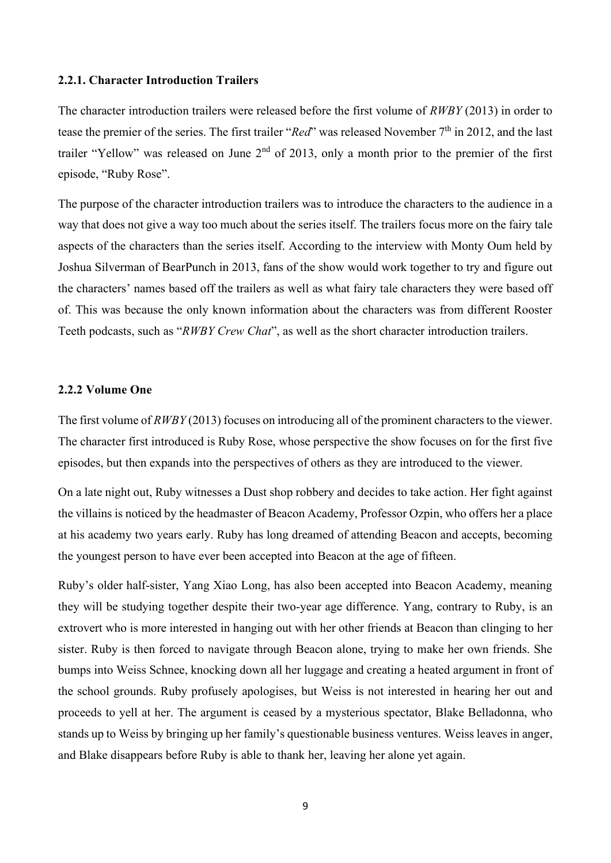# <span id="page-8-0"></span>**2.2.1. Character Introduction Trailers**

The character introduction trailers were released before the first volume of *RWBY* (2013) in order to tease the premier of the series. The first trailer "*Red*" was released November 7<sup>th</sup> in 2012, and the last trailer "Yellow" was released on June  $2<sup>nd</sup>$  of 2013, only a month prior to the premier of the first episode, "Ruby Rose".

The purpose of the character introduction trailers was to introduce the characters to the audience in a way that does not give a way too much about the series itself. The trailers focus more on the fairy tale aspects of the characters than the series itself. According to the interview with Monty Oum held by Joshua Silverman of BearPunch in 2013, fans of the show would work together to try and figure out the characters' names based off the trailers as well as what fairy tale characters they were based off of. This was because the only known information about the characters was from different Rooster Teeth podcasts, such as "*RWBY Crew Chat*", as well as the short character introduction trailers.

# <span id="page-8-1"></span>**2.2.2 Volume One**

The first volume of *RWBY* (2013) focuses on introducing all of the prominent characters to the viewer. The character first introduced is Ruby Rose, whose perspective the show focuses on for the first five episodes, but then expands into the perspectives of others as they are introduced to the viewer.

On a late night out, Ruby witnesses a Dust shop robbery and decides to take action. Her fight against the villains is noticed by the headmaster of Beacon Academy, Professor Ozpin, who offers her a place at his academy two years early. Ruby has long dreamed of attending Beacon and accepts, becoming the youngest person to have ever been accepted into Beacon at the age of fifteen.

Ruby's older half-sister, Yang Xiao Long, has also been accepted into Beacon Academy, meaning they will be studying together despite their two-year age difference. Yang, contrary to Ruby, is an extrovert who is more interested in hanging out with her other friends at Beacon than clinging to her sister. Ruby is then forced to navigate through Beacon alone, trying to make her own friends. She bumps into Weiss Schnee, knocking down all her luggage and creating a heated argument in front of the school grounds. Ruby profusely apologises, but Weiss is not interested in hearing her out and proceeds to yell at her. The argument is ceased by a mysterious spectator, Blake Belladonna, who stands up to Weiss by bringing up her family's questionable business ventures. Weiss leaves in anger, and Blake disappears before Ruby is able to thank her, leaving her alone yet again.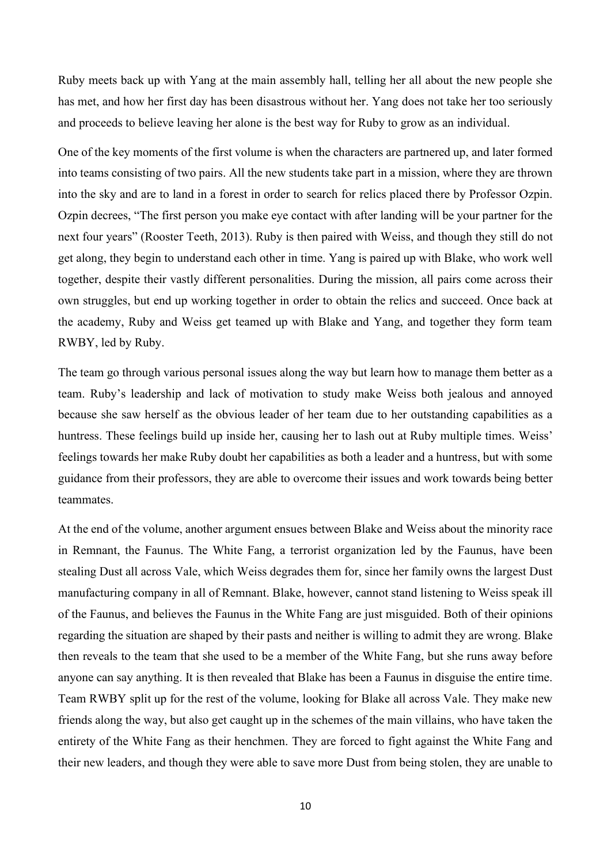Ruby meets back up with Yang at the main assembly hall, telling her all about the new people she has met, and how her first day has been disastrous without her. Yang does not take her too seriously and proceeds to believe leaving her alone is the best way for Ruby to grow as an individual.

One of the key moments of the first volume is when the characters are partnered up, and later formed into teams consisting of two pairs. All the new students take part in a mission, where they are thrown into the sky and are to land in a forest in order to search for relics placed there by Professor Ozpin. Ozpin decrees, "The first person you make eye contact with after landing will be your partner for the next four years" (Rooster Teeth, 2013). Ruby is then paired with Weiss, and though they still do not get along, they begin to understand each other in time. Yang is paired up with Blake, who work well together, despite their vastly different personalities. During the mission, all pairs come across their own struggles, but end up working together in order to obtain the relics and succeed. Once back at the academy, Ruby and Weiss get teamed up with Blake and Yang, and together they form team RWBY, led by Ruby.

The team go through various personal issues along the way but learn how to manage them better as a team. Ruby's leadership and lack of motivation to study make Weiss both jealous and annoyed because she saw herself as the obvious leader of her team due to her outstanding capabilities as a huntress. These feelings build up inside her, causing her to lash out at Ruby multiple times. Weiss' feelings towards her make Ruby doubt her capabilities as both a leader and a huntress, but with some guidance from their professors, they are able to overcome their issues and work towards being better teammates.

At the end of the volume, another argument ensues between Blake and Weiss about the minority race in Remnant, the Faunus. The White Fang, a terrorist organization led by the Faunus, have been stealing Dust all across Vale, which Weiss degrades them for, since her family owns the largest Dust manufacturing company in all of Remnant. Blake, however, cannot stand listening to Weiss speak ill of the Faunus, and believes the Faunus in the White Fang are just misguided. Both of their opinions regarding the situation are shaped by their pasts and neither is willing to admit they are wrong. Blake then reveals to the team that she used to be a member of the White Fang, but she runs away before anyone can say anything. It is then revealed that Blake has been a Faunus in disguise the entire time. Team RWBY split up for the rest of the volume, looking for Blake all across Vale. They make new friends along the way, but also get caught up in the schemes of the main villains, who have taken the entirety of the White Fang as their henchmen. They are forced to fight against the White Fang and their new leaders, and though they were able to save more Dust from being stolen, they are unable to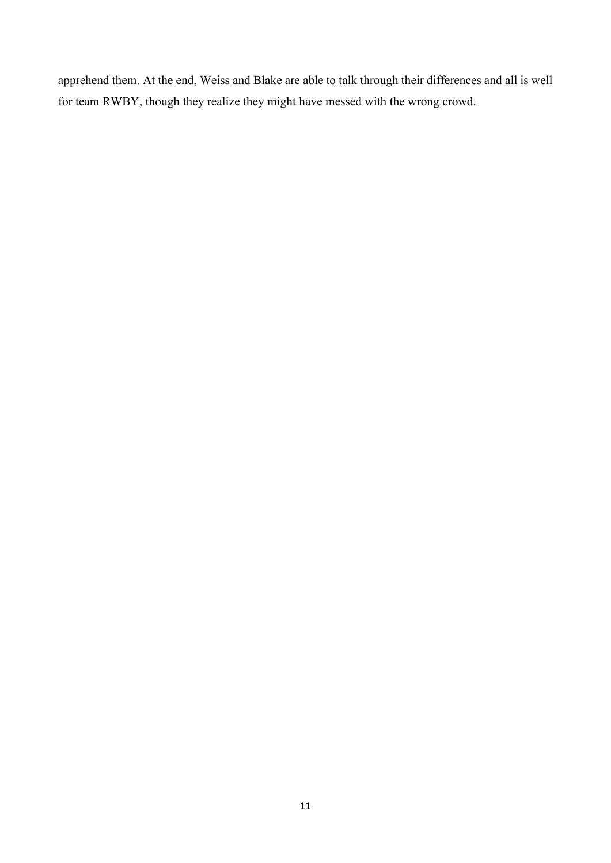apprehend them. At the end, Weiss and Blake are able to talk through their differences and all is well for team RWBY, though they realize they might have messed with the wrong crowd.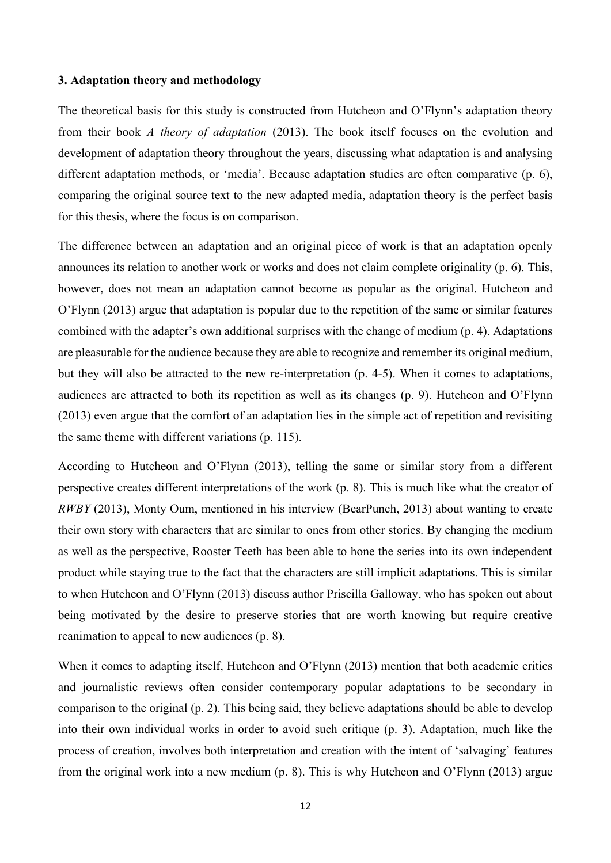# <span id="page-11-0"></span>**3. Adaptation theory and methodology**

The theoretical basis for this study is constructed from Hutcheon and O'Flynn's adaptation theory from their book *A theory of adaptation* (2013). The book itself focuses on the evolution and development of adaptation theory throughout the years, discussing what adaptation is and analysing different adaptation methods, or 'media'. Because adaptation studies are often comparative (p. 6), comparing the original source text to the new adapted media, adaptation theory is the perfect basis for this thesis, where the focus is on comparison.

The difference between an adaptation and an original piece of work is that an adaptation openly announces its relation to another work or works and does not claim complete originality (p. 6). This, however, does not mean an adaptation cannot become as popular as the original. Hutcheon and O'Flynn (2013) argue that adaptation is popular due to the repetition of the same or similar features combined with the adapter's own additional surprises with the change of medium (p. 4). Adaptations are pleasurable for the audience because they are able to recognize and remember its original medium, but they will also be attracted to the new re-interpretation (p. 4-5). When it comes to adaptations, audiences are attracted to both its repetition as well as its changes (p. 9). Hutcheon and O'Flynn (2013) even argue that the comfort of an adaptation lies in the simple act of repetition and revisiting the same theme with different variations (p. 115).

According to Hutcheon and O'Flynn (2013), telling the same or similar story from a different perspective creates different interpretations of the work (p. 8). This is much like what the creator of *RWBY* (2013), Monty Oum, mentioned in his interview (BearPunch, 2013) about wanting to create their own story with characters that are similar to ones from other stories. By changing the medium as well as the perspective, Rooster Teeth has been able to hone the series into its own independent product while staying true to the fact that the characters are still implicit adaptations. This is similar to when Hutcheon and O'Flynn (2013) discuss author Priscilla Galloway, who has spoken out about being motivated by the desire to preserve stories that are worth knowing but require creative reanimation to appeal to new audiences (p. 8).

When it comes to adapting itself, Hutcheon and O'Flynn (2013) mention that both academic critics and journalistic reviews often consider contemporary popular adaptations to be secondary in comparison to the original (p. 2). This being said, they believe adaptations should be able to develop into their own individual works in order to avoid such critique (p. 3). Adaptation, much like the process of creation, involves both interpretation and creation with the intent of 'salvaging' features from the original work into a new medium (p. 8). This is why Hutcheon and O'Flynn (2013) argue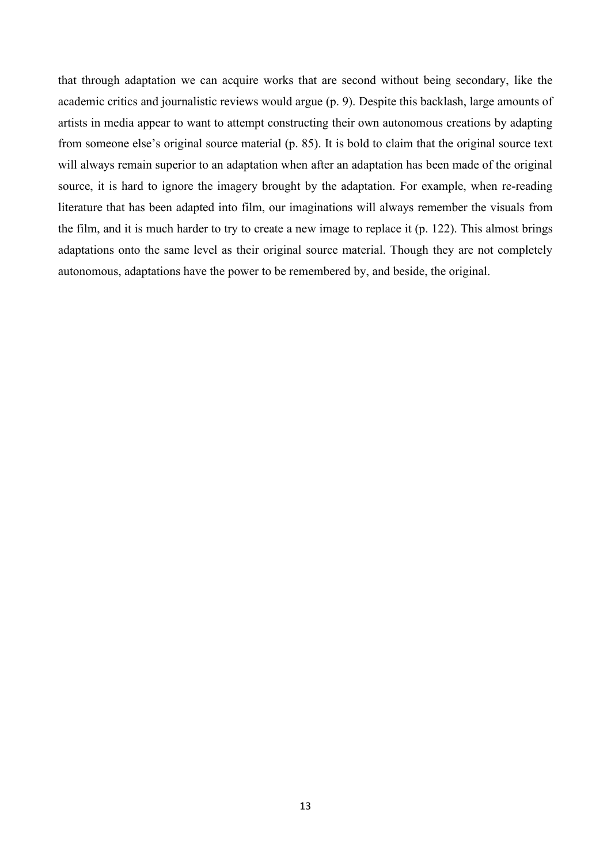that through adaptation we can acquire works that are second without being secondary, like the academic critics and journalistic reviews would argue (p. 9). Despite this backlash, large amounts of artists in media appear to want to attempt constructing their own autonomous creations by adapting from someone else's original source material (p. 85). It is bold to claim that the original source text will always remain superior to an adaptation when after an adaptation has been made of the original source, it is hard to ignore the imagery brought by the adaptation. For example, when re-reading literature that has been adapted into film, our imaginations will always remember the visuals from the film, and it is much harder to try to create a new image to replace it (p. 122). This almost brings adaptations onto the same level as their original source material. Though they are not completely autonomous, adaptations have the power to be remembered by, and beside, the original.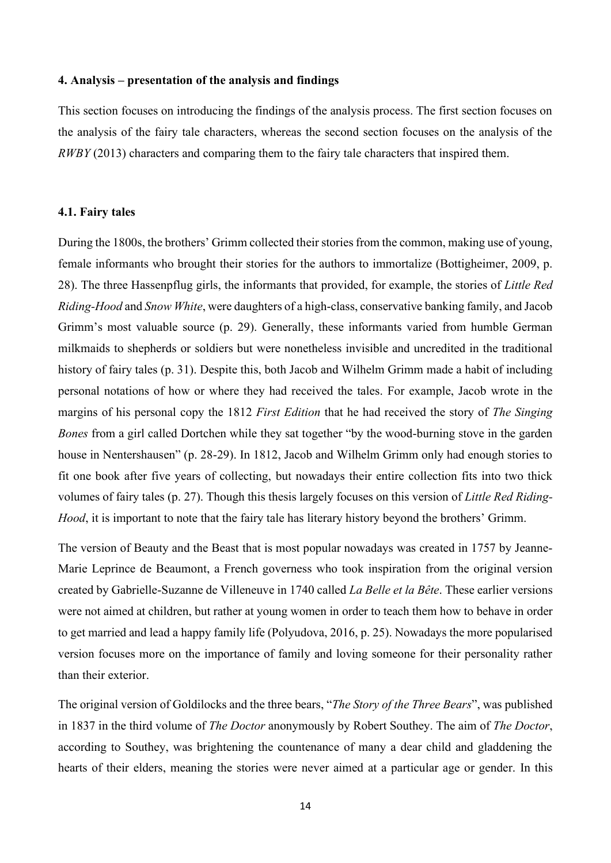# <span id="page-13-0"></span>**4. Analysis – presentation of the analysis and findings**

This section focuses on introducing the findings of the analysis process. The first section focuses on the analysis of the fairy tale characters, whereas the second section focuses on the analysis of the *RWBY* (2013) characters and comparing them to the fairy tale characters that inspired them.

#### <span id="page-13-1"></span>**4.1. Fairy tales**

During the 1800s, the brothers' Grimm collected their stories from the common, making use of young, female informants who brought their stories for the authors to immortalize (Bottigheimer, 2009, p. 28). The three Hassenpflug girls, the informants that provided, for example, the stories of *Little Red Riding-Hood* and *Snow White*, were daughters of a high-class, conservative banking family, and Jacob Grimm's most valuable source (p. 29). Generally, these informants varied from humble German milkmaids to shepherds or soldiers but were nonetheless invisible and uncredited in the traditional history of fairy tales (p. 31). Despite this, both Jacob and Wilhelm Grimm made a habit of including personal notations of how or where they had received the tales. For example, Jacob wrote in the margins of his personal copy the 1812 *First Edition* that he had received the story of *The Singing Bones* from a girl called Dortchen while they sat together "by the wood-burning stove in the garden house in Nentershausen" (p. 28-29). In 1812, Jacob and Wilhelm Grimm only had enough stories to fit one book after five years of collecting, but nowadays their entire collection fits into two thick volumes of fairy tales (p. 27). Though this thesis largely focuses on this version of *Little Red Riding-Hood*, it is important to note that the fairy tale has literary history beyond the brothers' Grimm.

The version of Beauty and the Beast that is most popular nowadays was created in 1757 by Jeanne-Marie Leprince de Beaumont, a French governess who took inspiration from the original version created by Gabrielle-Suzanne de Villeneuve in 1740 called *La Belle et la Bête*. These earlier versions were not aimed at children, but rather at young women in order to teach them how to behave in order to get married and lead a happy family life (Polyudova, 2016, p. 25). Nowadays the more popularised version focuses more on the importance of family and loving someone for their personality rather than their exterior.

The original version of Goldilocks and the three bears, "*The Story of the Three Bears*", was published in 1837 in the third volume of *The Doctor* anonymously by Robert Southey. The aim of *The Doctor*, according to Southey, was brightening the countenance of many a dear child and gladdening the hearts of their elders, meaning the stories were never aimed at a particular age or gender. In this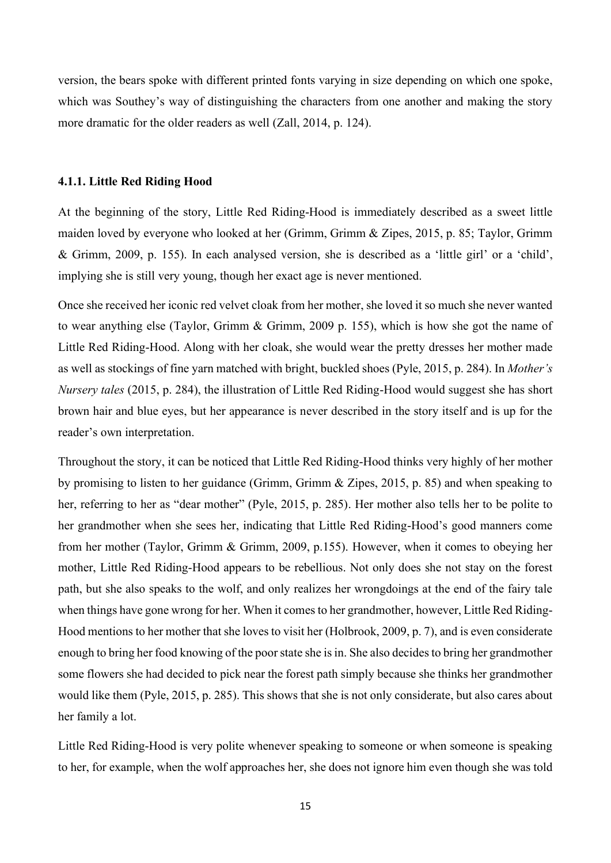version, the bears spoke with different printed fonts varying in size depending on which one spoke, which was Southey's way of distinguishing the characters from one another and making the story more dramatic for the older readers as well (Zall, 2014, p. 124).

#### <span id="page-14-0"></span>**4.1.1. Little Red Riding Hood**

At the beginning of the story, Little Red Riding-Hood is immediately described as a sweet little maiden loved by everyone who looked at her (Grimm, Grimm & Zipes, 2015, p. 85; Taylor, Grimm & Grimm, 2009, p. 155). In each analysed version, she is described as a 'little girl' or a 'child', implying she is still very young, though her exact age is never mentioned.

Once she received her iconic red velvet cloak from her mother, she loved it so much she never wanted to wear anything else (Taylor, Grimm & Grimm, 2009 p. 155), which is how she got the name of Little Red Riding-Hood. Along with her cloak, she would wear the pretty dresses her mother made as well as stockings of fine yarn matched with bright, buckled shoes (Pyle, 2015, p. 284). In *Mother's Nursery tales* (2015, p. 284), the illustration of Little Red Riding-Hood would suggest she has short brown hair and blue eyes, but her appearance is never described in the story itself and is up for the reader's own interpretation.

Throughout the story, it can be noticed that Little Red Riding-Hood thinks very highly of her mother by promising to listen to her guidance (Grimm, Grimm & Zipes, 2015, p. 85) and when speaking to her, referring to her as "dear mother" (Pyle, 2015, p. 285). Her mother also tells her to be polite to her grandmother when she sees her, indicating that Little Red Riding-Hood's good manners come from her mother (Taylor, Grimm & Grimm, 2009, p.155). However, when it comes to obeying her mother, Little Red Riding-Hood appears to be rebellious. Not only does she not stay on the forest path, but she also speaks to the wolf, and only realizes her wrongdoings at the end of the fairy tale when things have gone wrong for her. When it comes to her grandmother, however, Little Red Riding-Hood mentions to her mother that she loves to visit her (Holbrook, 2009, p. 7), and is even considerate enough to bring her food knowing of the poor state she is in. She also decides to bring her grandmother some flowers she had decided to pick near the forest path simply because she thinks her grandmother would like them (Pyle, 2015, p. 285). This shows that she is not only considerate, but also cares about her family a lot.

Little Red Riding-Hood is very polite whenever speaking to someone or when someone is speaking to her, for example, when the wolf approaches her, she does not ignore him even though she was told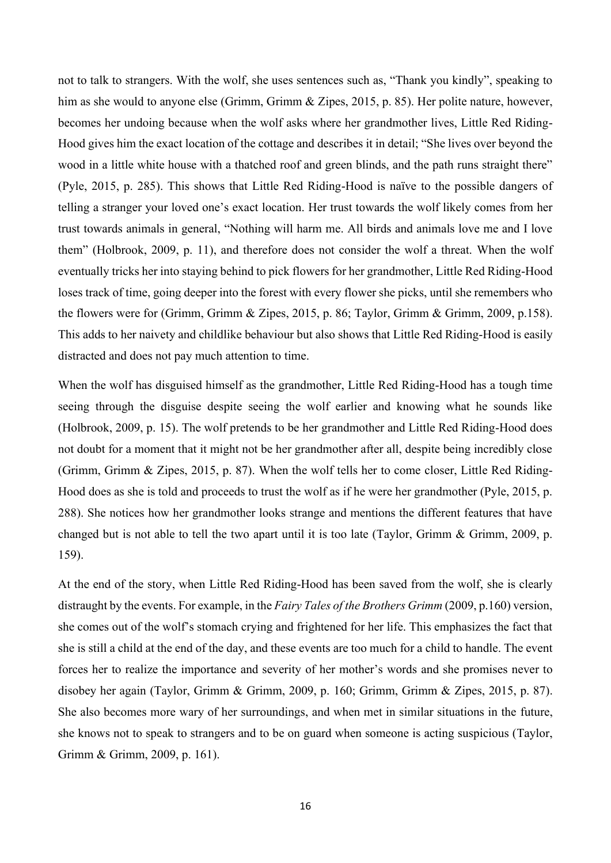not to talk to strangers. With the wolf, she uses sentences such as, "Thank you kindly", speaking to him as she would to anyone else (Grimm, Grimm & Zipes, 2015, p. 85). Her polite nature, however, becomes her undoing because when the wolf asks where her grandmother lives, Little Red Riding-Hood gives him the exact location of the cottage and describes it in detail; "She lives over beyond the wood in a little white house with a thatched roof and green blinds, and the path runs straight there" (Pyle, 2015, p. 285). This shows that Little Red Riding-Hood is naïve to the possible dangers of telling a stranger your loved one's exact location. Her trust towards the wolf likely comes from her trust towards animals in general, "Nothing will harm me. All birds and animals love me and I love them" (Holbrook, 2009, p. 11), and therefore does not consider the wolf a threat. When the wolf eventually tricks her into staying behind to pick flowers for her grandmother, Little Red Riding-Hood loses track of time, going deeper into the forest with every flower she picks, until she remembers who the flowers were for (Grimm, Grimm & Zipes, 2015, p. 86; Taylor, Grimm & Grimm, 2009, p.158). This adds to her naivety and childlike behaviour but also shows that Little Red Riding-Hood is easily distracted and does not pay much attention to time.

When the wolf has disguised himself as the grandmother, Little Red Riding-Hood has a tough time seeing through the disguise despite seeing the wolf earlier and knowing what he sounds like (Holbrook, 2009, p. 15). The wolf pretends to be her grandmother and Little Red Riding-Hood does not doubt for a moment that it might not be her grandmother after all, despite being incredibly close (Grimm, Grimm & Zipes, 2015, p. 87). When the wolf tells her to come closer, Little Red Riding-Hood does as she is told and proceeds to trust the wolf as if he were her grandmother (Pyle, 2015, p. 288). She notices how her grandmother looks strange and mentions the different features that have changed but is not able to tell the two apart until it is too late (Taylor, Grimm & Grimm, 2009, p. 159).

At the end of the story, when Little Red Riding-Hood has been saved from the wolf, she is clearly distraught by the events. For example, in the *Fairy Tales of the Brothers Grimm* (2009, p.160) version, she comes out of the wolf's stomach crying and frightened for her life. This emphasizes the fact that she is still a child at the end of the day, and these events are too much for a child to handle. The event forces her to realize the importance and severity of her mother's words and she promises never to disobey her again (Taylor, Grimm & Grimm, 2009, p. 160; Grimm, Grimm & Zipes, 2015, p. 87). She also becomes more wary of her surroundings, and when met in similar situations in the future, she knows not to speak to strangers and to be on guard when someone is acting suspicious (Taylor, Grimm & Grimm, 2009, p. 161).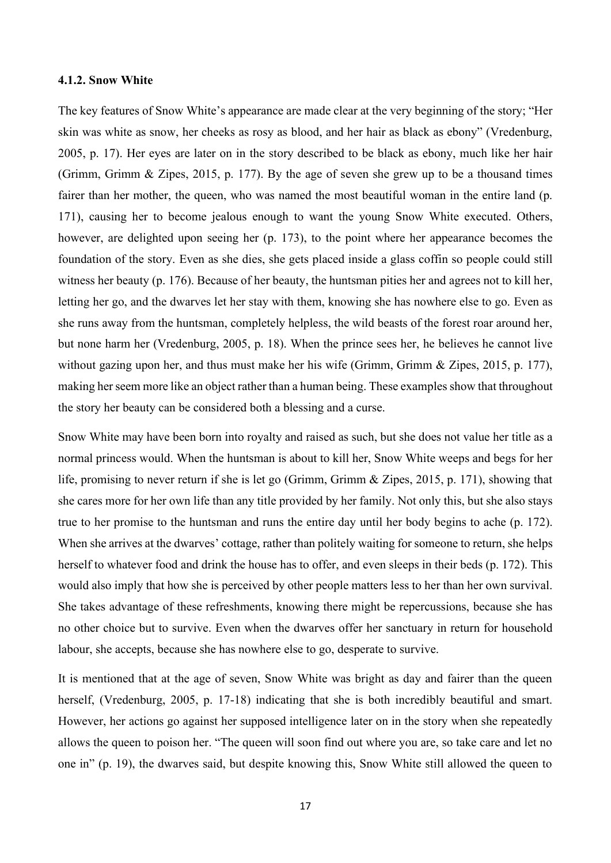#### <span id="page-16-0"></span>**4.1.2. Snow White**

The key features of Snow White's appearance are made clear at the very beginning of the story; "Her skin was white as snow, her cheeks as rosy as blood, and her hair as black as ebony" (Vredenburg, 2005, p. 17). Her eyes are later on in the story described to be black as ebony, much like her hair (Grimm, Grimm & Zipes, 2015, p. 177). By the age of seven she grew up to be a thousand times fairer than her mother, the queen, who was named the most beautiful woman in the entire land (p. 171), causing her to become jealous enough to want the young Snow White executed. Others, however, are delighted upon seeing her (p. 173), to the point where her appearance becomes the foundation of the story. Even as she dies, she gets placed inside a glass coffin so people could still witness her beauty (p. 176). Because of her beauty, the huntsman pities her and agrees not to kill her, letting her go, and the dwarves let her stay with them, knowing she has nowhere else to go. Even as she runs away from the huntsman, completely helpless, the wild beasts of the forest roar around her, but none harm her (Vredenburg, 2005, p. 18). When the prince sees her, he believes he cannot live without gazing upon her, and thus must make her his wife (Grimm, Grimm & Zipes, 2015, p. 177), making her seem more like an object rather than a human being. These examples show that throughout the story her beauty can be considered both a blessing and a curse.

Snow White may have been born into royalty and raised as such, but she does not value her title as a normal princess would. When the huntsman is about to kill her, Snow White weeps and begs for her life, promising to never return if she is let go (Grimm, Grimm & Zipes, 2015, p. 171), showing that she cares more for her own life than any title provided by her family. Not only this, but she also stays true to her promise to the huntsman and runs the entire day until her body begins to ache (p. 172). When she arrives at the dwarves' cottage, rather than politely waiting for someone to return, she helps herself to whatever food and drink the house has to offer, and even sleeps in their beds (p. 172). This would also imply that how she is perceived by other people matters less to her than her own survival. She takes advantage of these refreshments, knowing there might be repercussions, because she has no other choice but to survive. Even when the dwarves offer her sanctuary in return for household labour, she accepts, because she has nowhere else to go, desperate to survive.

It is mentioned that at the age of seven, Snow White was bright as day and fairer than the queen herself, (Vredenburg, 2005, p. 17-18) indicating that she is both incredibly beautiful and smart. However, her actions go against her supposed intelligence later on in the story when she repeatedly allows the queen to poison her. "The queen will soon find out where you are, so take care and let no one in" (p. 19), the dwarves said, but despite knowing this, Snow White still allowed the queen to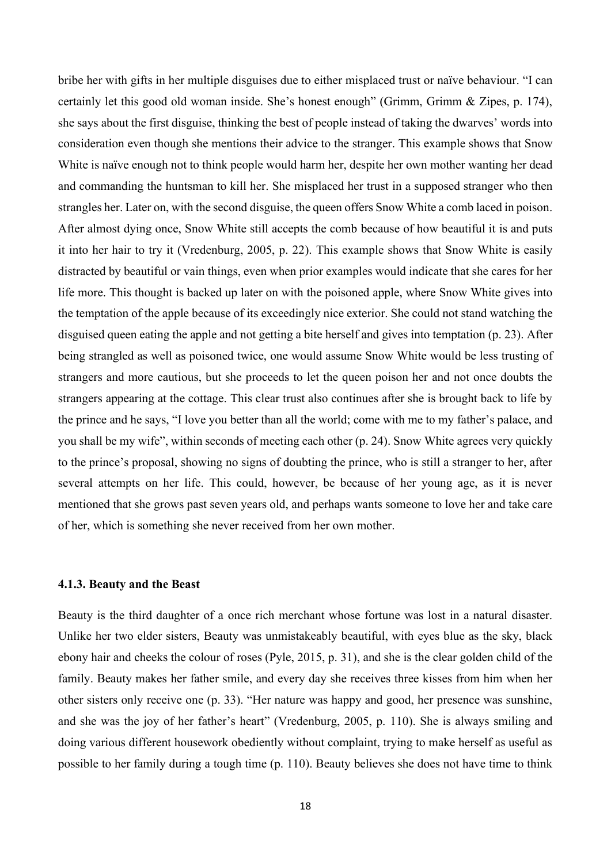bribe her with gifts in her multiple disguises due to either misplaced trust or naïve behaviour. "I can certainly let this good old woman inside. She's honest enough" (Grimm, Grimm & Zipes, p. 174), she says about the first disguise, thinking the best of people instead of taking the dwarves' words into consideration even though she mentions their advice to the stranger. This example shows that Snow White is naïve enough not to think people would harm her, despite her own mother wanting her dead and commanding the huntsman to kill her. She misplaced her trust in a supposed stranger who then strangles her. Later on, with the second disguise, the queen offers Snow White a comb laced in poison. After almost dying once, Snow White still accepts the comb because of how beautiful it is and puts it into her hair to try it (Vredenburg, 2005, p. 22). This example shows that Snow White is easily distracted by beautiful or vain things, even when prior examples would indicate that she cares for her life more. This thought is backed up later on with the poisoned apple, where Snow White gives into the temptation of the apple because of its exceedingly nice exterior. She could not stand watching the disguised queen eating the apple and not getting a bite herself and gives into temptation (p. 23). After being strangled as well as poisoned twice, one would assume Snow White would be less trusting of strangers and more cautious, but she proceeds to let the queen poison her and not once doubts the strangers appearing at the cottage. This clear trust also continues after she is brought back to life by the prince and he says, "I love you better than all the world; come with me to my father's palace, and you shall be my wife", within seconds of meeting each other (p. 24). Snow White agrees very quickly to the prince's proposal, showing no signs of doubting the prince, who is still a stranger to her, after several attempts on her life. This could, however, be because of her young age, as it is never mentioned that she grows past seven years old, and perhaps wants someone to love her and take care of her, which is something she never received from her own mother.

#### <span id="page-17-0"></span>**4.1.3. Beauty and the Beast**

Beauty is the third daughter of a once rich merchant whose fortune was lost in a natural disaster. Unlike her two elder sisters, Beauty was unmistakeably beautiful, with eyes blue as the sky, black ebony hair and cheeks the colour of roses (Pyle, 2015, p. 31), and she is the clear golden child of the family. Beauty makes her father smile, and every day she receives three kisses from him when her other sisters only receive one (p. 33). "Her nature was happy and good, her presence was sunshine, and she was the joy of her father's heart" (Vredenburg, 2005, p. 110). She is always smiling and doing various different housework obediently without complaint, trying to make herself as useful as possible to her family during a tough time (p. 110). Beauty believes she does not have time to think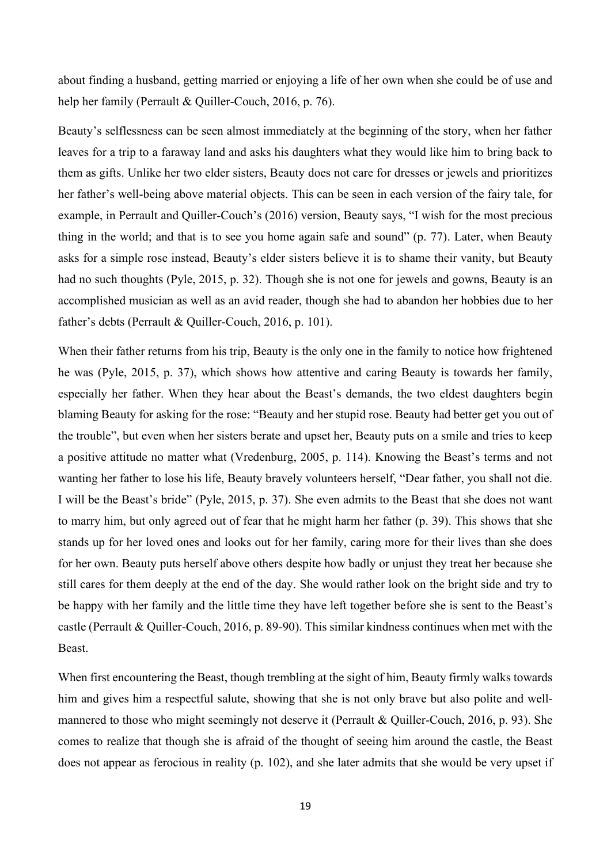about finding a husband, getting married or enjoying a life of her own when she could be of use and help her family (Perrault & Quiller-Couch, 2016, p. 76).

Beauty's selflessness can be seen almost immediately at the beginning of the story, when her father leaves for a trip to a faraway land and asks his daughters what they would like him to bring back to them as gifts. Unlike her two elder sisters, Beauty does not care for dresses or jewels and prioritizes her father's well-being above material objects. This can be seen in each version of the fairy tale, for example, in Perrault and Quiller-Couch's (2016) version, Beauty says, "I wish for the most precious thing in the world; and that is to see you home again safe and sound" (p. 77). Later, when Beauty asks for a simple rose instead, Beauty's elder sisters believe it is to shame their vanity, but Beauty had no such thoughts (Pyle, 2015, p. 32). Though she is not one for jewels and gowns, Beauty is an accomplished musician as well as an avid reader, though she had to abandon her hobbies due to her father's debts (Perrault & Quiller-Couch, 2016, p. 101).

When their father returns from his trip, Beauty is the only one in the family to notice how frightened he was (Pyle, 2015, p. 37), which shows how attentive and caring Beauty is towards her family, especially her father. When they hear about the Beast's demands, the two eldest daughters begin blaming Beauty for asking for the rose: "Beauty and her stupid rose. Beauty had better get you out of the trouble", but even when her sisters berate and upset her, Beauty puts on a smile and tries to keep a positive attitude no matter what (Vredenburg, 2005, p. 114). Knowing the Beast's terms and not wanting her father to lose his life, Beauty bravely volunteers herself, "Dear father, you shall not die. I will be the Beast's bride" (Pyle, 2015, p. 37). She even admits to the Beast that she does not want to marry him, but only agreed out of fear that he might harm her father (p. 39). This shows that she stands up for her loved ones and looks out for her family, caring more for their lives than she does for her own. Beauty puts herself above others despite how badly or unjust they treat her because she still cares for them deeply at the end of the day. She would rather look on the bright side and try to be happy with her family and the little time they have left together before she is sent to the Beast's castle (Perrault & Quiller-Couch, 2016, p. 89-90). This similar kindness continues when met with the Beast.

When first encountering the Beast, though trembling at the sight of him, Beauty firmly walks towards him and gives him a respectful salute, showing that she is not only brave but also polite and wellmannered to those who might seemingly not deserve it (Perrault & Quiller-Couch, 2016, p. 93). She comes to realize that though she is afraid of the thought of seeing him around the castle, the Beast does not appear as ferocious in reality (p. 102), and she later admits that she would be very upset if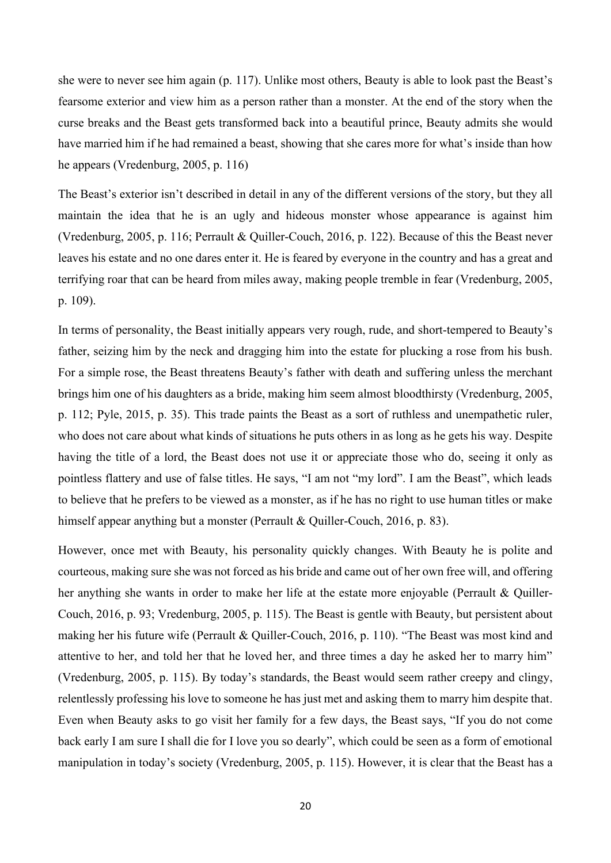she were to never see him again (p. 117). Unlike most others, Beauty is able to look past the Beast's fearsome exterior and view him as a person rather than a monster. At the end of the story when the curse breaks and the Beast gets transformed back into a beautiful prince, Beauty admits she would have married him if he had remained a beast, showing that she cares more for what's inside than how he appears (Vredenburg, 2005, p. 116)

The Beast's exterior isn't described in detail in any of the different versions of the story, but they all maintain the idea that he is an ugly and hideous monster whose appearance is against him (Vredenburg, 2005, p. 116; Perrault & Quiller-Couch, 2016, p. 122). Because of this the Beast never leaves his estate and no one dares enter it. He is feared by everyone in the country and has a great and terrifying roar that can be heard from miles away, making people tremble in fear (Vredenburg, 2005, p. 109).

In terms of personality, the Beast initially appears very rough, rude, and short-tempered to Beauty's father, seizing him by the neck and dragging him into the estate for plucking a rose from his bush. For a simple rose, the Beast threatens Beauty's father with death and suffering unless the merchant brings him one of his daughters as a bride, making him seem almost bloodthirsty (Vredenburg, 2005, p. 112; Pyle, 2015, p. 35). This trade paints the Beast as a sort of ruthless and unempathetic ruler, who does not care about what kinds of situations he puts others in as long as he gets his way. Despite having the title of a lord, the Beast does not use it or appreciate those who do, seeing it only as pointless flattery and use of false titles. He says, "I am not "my lord". I am the Beast", which leads to believe that he prefers to be viewed as a monster, as if he has no right to use human titles or make himself appear anything but a monster (Perrault & Quiller-Couch, 2016, p. 83).

However, once met with Beauty, his personality quickly changes. With Beauty he is polite and courteous, making sure she was not forced as his bride and came out of her own free will, and offering her anything she wants in order to make her life at the estate more enjoyable (Perrault & Quiller-Couch, 2016, p. 93; Vredenburg, 2005, p. 115). The Beast is gentle with Beauty, but persistent about making her his future wife (Perrault & Quiller-Couch, 2016, p. 110). "The Beast was most kind and attentive to her, and told her that he loved her, and three times a day he asked her to marry him" (Vredenburg, 2005, p. 115). By today's standards, the Beast would seem rather creepy and clingy, relentlessly professing his love to someone he has just met and asking them to marry him despite that. Even when Beauty asks to go visit her family for a few days, the Beast says, "If you do not come back early I am sure I shall die for I love you so dearly", which could be seen as a form of emotional manipulation in today's society (Vredenburg, 2005, p. 115). However, it is clear that the Beast has a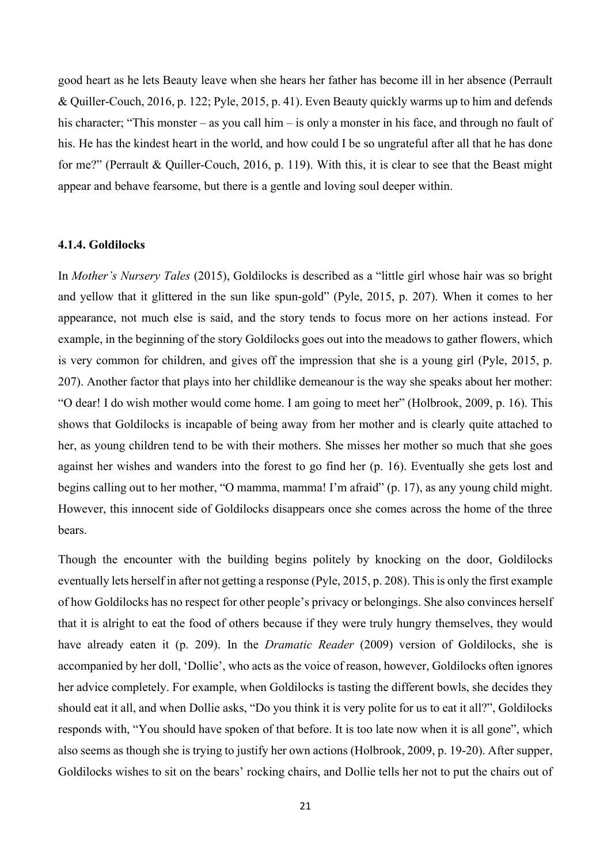good heart as he lets Beauty leave when she hears her father has become ill in her absence (Perrault & Quiller-Couch, 2016, p. 122; Pyle, 2015, p. 41). Even Beauty quickly warms up to him and defends his character; "This monster – as you call him – is only a monster in his face, and through no fault of his. He has the kindest heart in the world, and how could I be so ungrateful after all that he has done for me?" (Perrault & Quiller-Couch, 2016, p. 119). With this, it is clear to see that the Beast might appear and behave fearsome, but there is a gentle and loving soul deeper within.

# <span id="page-20-0"></span>**4.1.4. Goldilocks**

In *Mother's Nursery Tales* (2015), Goldilocks is described as a "little girl whose hair was so bright and yellow that it glittered in the sun like spun-gold" (Pyle, 2015, p. 207). When it comes to her appearance, not much else is said, and the story tends to focus more on her actions instead. For example, in the beginning of the story Goldilocks goes out into the meadows to gather flowers, which is very common for children, and gives off the impression that she is a young girl (Pyle, 2015, p. 207). Another factor that plays into her childlike demeanour is the way she speaks about her mother: "O dear! I do wish mother would come home. I am going to meet her" (Holbrook, 2009, p. 16). This shows that Goldilocks is incapable of being away from her mother and is clearly quite attached to her, as young children tend to be with their mothers. She misses her mother so much that she goes against her wishes and wanders into the forest to go find her (p. 16). Eventually she gets lost and begins calling out to her mother, "O mamma, mamma! I'm afraid" (p. 17), as any young child might. However, this innocent side of Goldilocks disappears once she comes across the home of the three bears.

Though the encounter with the building begins politely by knocking on the door, Goldilocks eventually lets herself in after not getting a response (Pyle, 2015, p. 208). This is only the first example of how Goldilocks has no respect for other people's privacy or belongings. She also convinces herself that it is alright to eat the food of others because if they were truly hungry themselves, they would have already eaten it (p. 209). In the *Dramatic Reader* (2009) version of Goldilocks, she is accompanied by her doll, 'Dollie', who acts as the voice of reason, however, Goldilocks often ignores her advice completely. For example, when Goldilocks is tasting the different bowls, she decides they should eat it all, and when Dollie asks, "Do you think it is very polite for us to eat it all?", Goldilocks responds with, "You should have spoken of that before. It is too late now when it is all gone", which also seems as though she is trying to justify her own actions (Holbrook, 2009, p. 19-20). After supper, Goldilocks wishes to sit on the bears' rocking chairs, and Dollie tells her not to put the chairs out of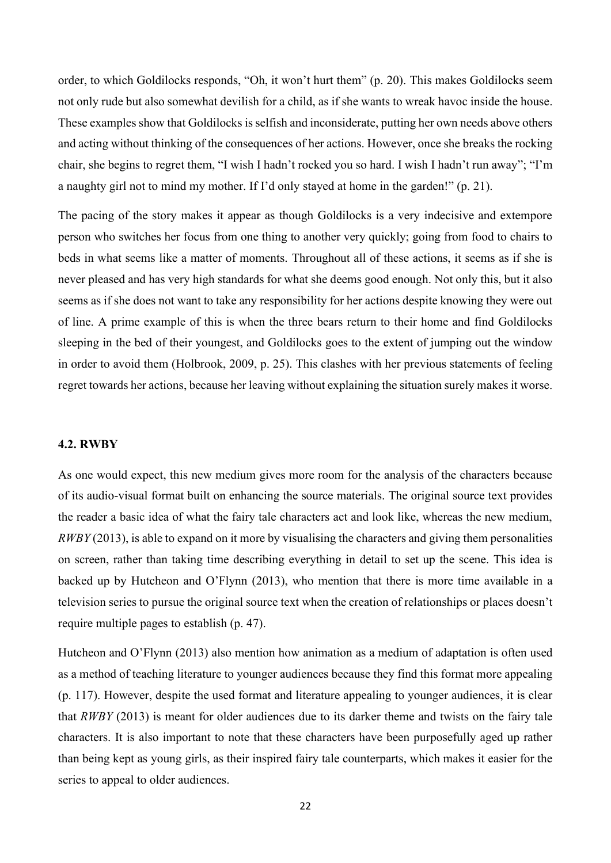order, to which Goldilocks responds, "Oh, it won't hurt them" (p. 20). This makes Goldilocks seem not only rude but also somewhat devilish for a child, as if she wants to wreak havoc inside the house. These examples show that Goldilocks is selfish and inconsiderate, putting her own needs above others and acting without thinking of the consequences of her actions. However, once she breaks the rocking chair, she begins to regret them, "I wish I hadn't rocked you so hard. I wish I hadn't run away"; "I'm a naughty girl not to mind my mother. If I'd only stayed at home in the garden!" (p. 21).

The pacing of the story makes it appear as though Goldilocks is a very indecisive and extempore person who switches her focus from one thing to another very quickly; going from food to chairs to beds in what seems like a matter of moments. Throughout all of these actions, it seems as if she is never pleased and has very high standards for what she deems good enough. Not only this, but it also seems as if she does not want to take any responsibility for her actions despite knowing they were out of line. A prime example of this is when the three bears return to their home and find Goldilocks sleeping in the bed of their youngest, and Goldilocks goes to the extent of jumping out the window in order to avoid them (Holbrook, 2009, p. 25). This clashes with her previous statements of feeling regret towards her actions, because her leaving without explaining the situation surely makes it worse.

# <span id="page-21-0"></span>**4.2. RWBY**

As one would expect, this new medium gives more room for the analysis of the characters because of its audio-visual format built on enhancing the source materials. The original source text provides the reader a basic idea of what the fairy tale characters act and look like, whereas the new medium, *RWBY* (2013), is able to expand on it more by visualising the characters and giving them personalities on screen, rather than taking time describing everything in detail to set up the scene. This idea is backed up by Hutcheon and O'Flynn (2013), who mention that there is more time available in a television series to pursue the original source text when the creation of relationships or places doesn't require multiple pages to establish (p. 47).

Hutcheon and O'Flynn (2013) also mention how animation as a medium of adaptation is often used as a method of teaching literature to younger audiences because they find this format more appealing (p. 117). However, despite the used format and literature appealing to younger audiences, it is clear that *RWBY* (2013) is meant for older audiences due to its darker theme and twists on the fairy tale characters. It is also important to note that these characters have been purposefully aged up rather than being kept as young girls, as their inspired fairy tale counterparts, which makes it easier for the series to appeal to older audiences.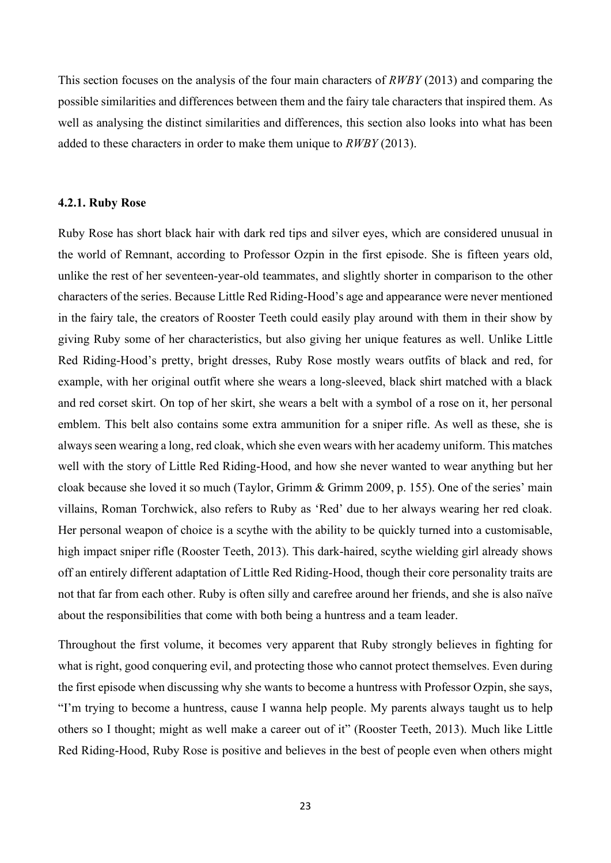This section focuses on the analysis of the four main characters of *RWBY* (2013) and comparing the possible similarities and differences between them and the fairy tale characters that inspired them. As well as analysing the distinct similarities and differences, this section also looks into what has been added to these characters in order to make them unique to *RWBY* (2013).

#### <span id="page-22-0"></span>**4.2.1. Ruby Rose**

Ruby Rose has short black hair with dark red tips and silver eyes, which are considered unusual in the world of Remnant, according to Professor Ozpin in the first episode. She is fifteen years old, unlike the rest of her seventeen-year-old teammates, and slightly shorter in comparison to the other characters of the series. Because Little Red Riding-Hood's age and appearance were never mentioned in the fairy tale, the creators of Rooster Teeth could easily play around with them in their show by giving Ruby some of her characteristics, but also giving her unique features as well. Unlike Little Red Riding-Hood's pretty, bright dresses, Ruby Rose mostly wears outfits of black and red, for example, with her original outfit where she wears a long-sleeved, black shirt matched with a black and red corset skirt. On top of her skirt, she wears a belt with a symbol of a rose on it, her personal emblem. This belt also contains some extra ammunition for a sniper rifle. As well as these, she is always seen wearing a long, red cloak, which she even wears with her academy uniform. This matches well with the story of Little Red Riding-Hood, and how she never wanted to wear anything but her cloak because she loved it so much (Taylor, Grimm & Grimm 2009, p. 155). One of the series' main villains, Roman Torchwick, also refers to Ruby as 'Red' due to her always wearing her red cloak. Her personal weapon of choice is a scythe with the ability to be quickly turned into a customisable, high impact sniper rifle (Rooster Teeth, 2013). This dark-haired, scythe wielding girl already shows off an entirely different adaptation of Little Red Riding-Hood, though their core personality traits are not that far from each other. Ruby is often silly and carefree around her friends, and she is also naïve about the responsibilities that come with both being a huntress and a team leader.

Throughout the first volume, it becomes very apparent that Ruby strongly believes in fighting for what is right, good conquering evil, and protecting those who cannot protect themselves. Even during the first episode when discussing why she wants to become a huntress with Professor Ozpin, she says, "I'm trying to become a huntress, cause I wanna help people. My parents always taught us to help others so I thought; might as well make a career out of it" (Rooster Teeth, 2013). Much like Little Red Riding-Hood, Ruby Rose is positive and believes in the best of people even when others might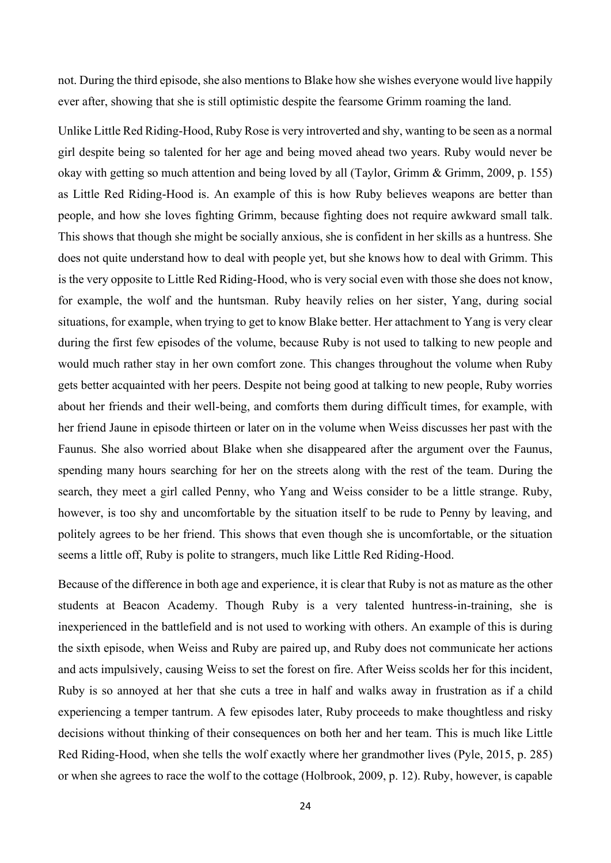not. During the third episode, she also mentions to Blake how she wishes everyone would live happily ever after, showing that she is still optimistic despite the fearsome Grimm roaming the land.

Unlike Little Red Riding-Hood, Ruby Rose is very introverted and shy, wanting to be seen as a normal girl despite being so talented for her age and being moved ahead two years. Ruby would never be okay with getting so much attention and being loved by all (Taylor, Grimm & Grimm, 2009, p. 155) as Little Red Riding-Hood is. An example of this is how Ruby believes weapons are better than people, and how she loves fighting Grimm, because fighting does not require awkward small talk. This shows that though she might be socially anxious, she is confident in her skills as a huntress. She does not quite understand how to deal with people yet, but she knows how to deal with Grimm. This is the very opposite to Little Red Riding-Hood, who is very social even with those she does not know, for example, the wolf and the huntsman. Ruby heavily relies on her sister, Yang, during social situations, for example, when trying to get to know Blake better. Her attachment to Yang is very clear during the first few episodes of the volume, because Ruby is not used to talking to new people and would much rather stay in her own comfort zone. This changes throughout the volume when Ruby gets better acquainted with her peers. Despite not being good at talking to new people, Ruby worries about her friends and their well-being, and comforts them during difficult times, for example, with her friend Jaune in episode thirteen or later on in the volume when Weiss discusses her past with the Faunus. She also worried about Blake when she disappeared after the argument over the Faunus, spending many hours searching for her on the streets along with the rest of the team. During the search, they meet a girl called Penny, who Yang and Weiss consider to be a little strange. Ruby, however, is too shy and uncomfortable by the situation itself to be rude to Penny by leaving, and politely agrees to be her friend. This shows that even though she is uncomfortable, or the situation seems a little off, Ruby is polite to strangers, much like Little Red Riding-Hood.

Because of the difference in both age and experience, it is clear that Ruby is not as mature as the other students at Beacon Academy. Though Ruby is a very talented huntress-in-training, she is inexperienced in the battlefield and is not used to working with others. An example of this is during the sixth episode, when Weiss and Ruby are paired up, and Ruby does not communicate her actions and acts impulsively, causing Weiss to set the forest on fire. After Weiss scolds her for this incident, Ruby is so annoyed at her that she cuts a tree in half and walks away in frustration as if a child experiencing a temper tantrum. A few episodes later, Ruby proceeds to make thoughtless and risky decisions without thinking of their consequences on both her and her team. This is much like Little Red Riding-Hood, when she tells the wolf exactly where her grandmother lives (Pyle, 2015, p. 285) or when she agrees to race the wolf to the cottage (Holbrook, 2009, p. 12). Ruby, however, is capable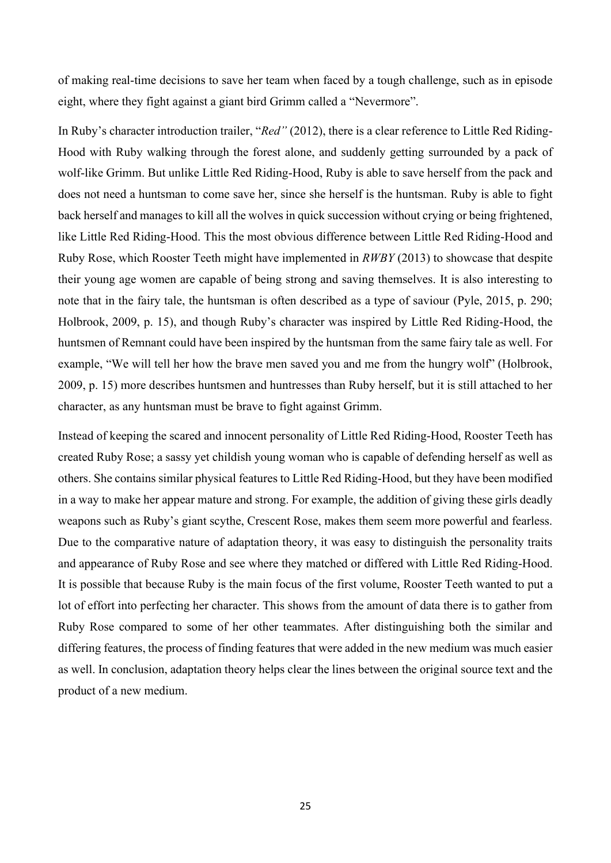of making real-time decisions to save her team when faced by a tough challenge, such as in episode eight, where they fight against a giant bird Grimm called a "Nevermore".

In Ruby's character introduction trailer, "*Red"* (2012), there is a clear reference to Little Red Riding-Hood with Ruby walking through the forest alone, and suddenly getting surrounded by a pack of wolf-like Grimm. But unlike Little Red Riding-Hood, Ruby is able to save herself from the pack and does not need a huntsman to come save her, since she herself is the huntsman. Ruby is able to fight back herself and manages to kill all the wolves in quick succession without crying or being frightened, like Little Red Riding-Hood. This the most obvious difference between Little Red Riding-Hood and Ruby Rose, which Rooster Teeth might have implemented in *RWBY* (2013) to showcase that despite their young age women are capable of being strong and saving themselves. It is also interesting to note that in the fairy tale, the huntsman is often described as a type of saviour (Pyle, 2015, p. 290; Holbrook, 2009, p. 15), and though Ruby's character was inspired by Little Red Riding-Hood, the huntsmen of Remnant could have been inspired by the huntsman from the same fairy tale as well. For example, "We will tell her how the brave men saved you and me from the hungry wolf" (Holbrook, 2009, p. 15) more describes huntsmen and huntresses than Ruby herself, but it is still attached to her character, as any huntsman must be brave to fight against Grimm.

Instead of keeping the scared and innocent personality of Little Red Riding-Hood, Rooster Teeth has created Ruby Rose; a sassy yet childish young woman who is capable of defending herself as well as others. She contains similar physical features to Little Red Riding-Hood, but they have been modified in a way to make her appear mature and strong. For example, the addition of giving these girls deadly weapons such as Ruby's giant scythe, Crescent Rose, makes them seem more powerful and fearless. Due to the comparative nature of adaptation theory, it was easy to distinguish the personality traits and appearance of Ruby Rose and see where they matched or differed with Little Red Riding-Hood. It is possible that because Ruby is the main focus of the first volume, Rooster Teeth wanted to put a lot of effort into perfecting her character. This shows from the amount of data there is to gather from Ruby Rose compared to some of her other teammates. After distinguishing both the similar and differing features, the process of finding features that were added in the new medium was much easier as well. In conclusion, adaptation theory helps clear the lines between the original source text and the product of a new medium.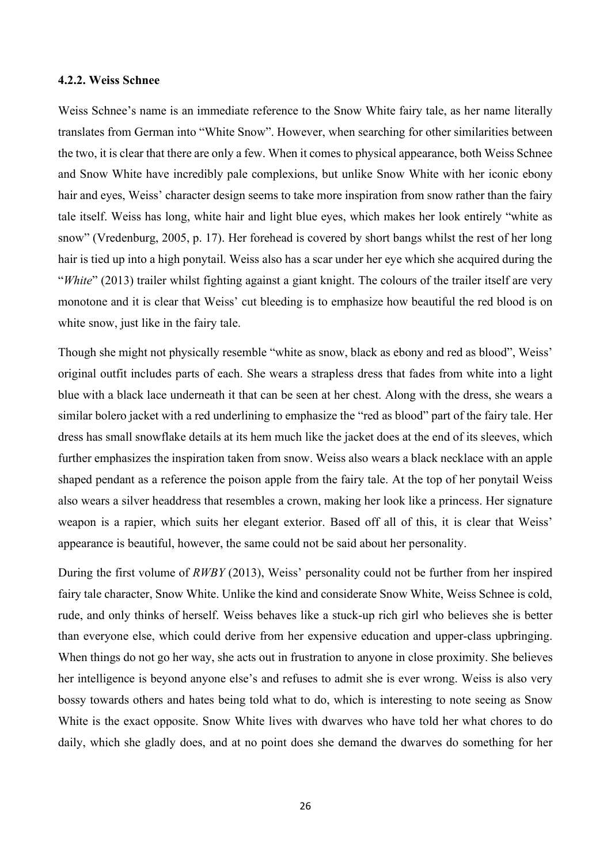#### <span id="page-25-0"></span>**4.2.2. Weiss Schnee**

Weiss Schnee's name is an immediate reference to the Snow White fairy tale, as her name literally translates from German into "White Snow". However, when searching for other similarities between the two, it is clear that there are only a few. When it comes to physical appearance, both Weiss Schnee and Snow White have incredibly pale complexions, but unlike Snow White with her iconic ebony hair and eyes, Weiss' character design seems to take more inspiration from snow rather than the fairy tale itself. Weiss has long, white hair and light blue eyes, which makes her look entirely "white as snow" (Vredenburg, 2005, p. 17). Her forehead is covered by short bangs whilst the rest of her long hair is tied up into a high ponytail. Weiss also has a scar under her eye which she acquired during the "*White*" (2013) trailer whilst fighting against a giant knight. The colours of the trailer itself are very monotone and it is clear that Weiss' cut bleeding is to emphasize how beautiful the red blood is on white snow, just like in the fairy tale.

Though she might not physically resemble "white as snow, black as ebony and red as blood", Weiss' original outfit includes parts of each. She wears a strapless dress that fades from white into a light blue with a black lace underneath it that can be seen at her chest. Along with the dress, she wears a similar bolero jacket with a red underlining to emphasize the "red as blood" part of the fairy tale. Her dress has small snowflake details at its hem much like the jacket does at the end of its sleeves, which further emphasizes the inspiration taken from snow. Weiss also wears a black necklace with an apple shaped pendant as a reference the poison apple from the fairy tale. At the top of her ponytail Weiss also wears a silver headdress that resembles a crown, making her look like a princess. Her signature weapon is a rapier, which suits her elegant exterior. Based off all of this, it is clear that Weiss' appearance is beautiful, however, the same could not be said about her personality.

During the first volume of *RWBY* (2013), Weiss' personality could not be further from her inspired fairy tale character, Snow White. Unlike the kind and considerate Snow White, Weiss Schnee is cold, rude, and only thinks of herself. Weiss behaves like a stuck-up rich girl who believes she is better than everyone else, which could derive from her expensive education and upper-class upbringing. When things do not go her way, she acts out in frustration to anyone in close proximity. She believes her intelligence is beyond anyone else's and refuses to admit she is ever wrong. Weiss is also very bossy towards others and hates being told what to do, which is interesting to note seeing as Snow White is the exact opposite. Snow White lives with dwarves who have told her what chores to do daily, which she gladly does, and at no point does she demand the dwarves do something for her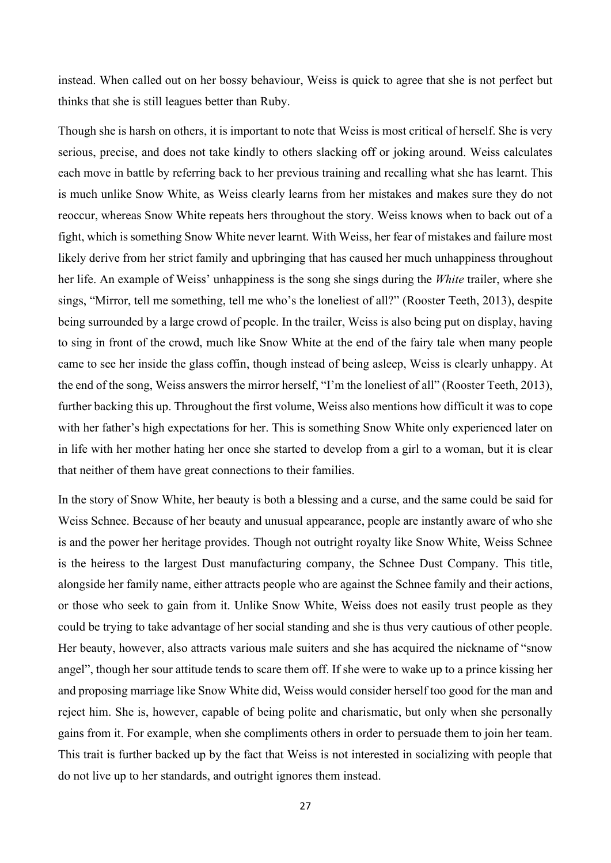instead. When called out on her bossy behaviour, Weiss is quick to agree that she is not perfect but thinks that she is still leagues better than Ruby.

Though she is harsh on others, it is important to note that Weiss is most critical of herself. She is very serious, precise, and does not take kindly to others slacking off or joking around. Weiss calculates each move in battle by referring back to her previous training and recalling what she has learnt. This is much unlike Snow White, as Weiss clearly learns from her mistakes and makes sure they do not reoccur, whereas Snow White repeats hers throughout the story. Weiss knows when to back out of a fight, which is something Snow White never learnt. With Weiss, her fear of mistakes and failure most likely derive from her strict family and upbringing that has caused her much unhappiness throughout her life. An example of Weiss' unhappiness is the song she sings during the *White* trailer, where she sings, "Mirror, tell me something, tell me who's the loneliest of all?" (Rooster Teeth, 2013), despite being surrounded by a large crowd of people. In the trailer, Weiss is also being put on display, having to sing in front of the crowd, much like Snow White at the end of the fairy tale when many people came to see her inside the glass coffin, though instead of being asleep, Weiss is clearly unhappy. At the end of the song, Weiss answers the mirror herself, "I'm the loneliest of all" (Rooster Teeth, 2013), further backing this up. Throughout the first volume, Weiss also mentions how difficult it was to cope with her father's high expectations for her. This is something Snow White only experienced later on in life with her mother hating her once she started to develop from a girl to a woman, but it is clear that neither of them have great connections to their families.

In the story of Snow White, her beauty is both a blessing and a curse, and the same could be said for Weiss Schnee. Because of her beauty and unusual appearance, people are instantly aware of who she is and the power her heritage provides. Though not outright royalty like Snow White, Weiss Schnee is the heiress to the largest Dust manufacturing company, the Schnee Dust Company. This title, alongside her family name, either attracts people who are against the Schnee family and their actions, or those who seek to gain from it. Unlike Snow White, Weiss does not easily trust people as they could be trying to take advantage of her social standing and she is thus very cautious of other people. Her beauty, however, also attracts various male suiters and she has acquired the nickname of "snow angel", though her sour attitude tends to scare them off. If she were to wake up to a prince kissing her and proposing marriage like Snow White did, Weiss would consider herself too good for the man and reject him. She is, however, capable of being polite and charismatic, but only when she personally gains from it. For example, when she compliments others in order to persuade them to join her team. This trait is further backed up by the fact that Weiss is not interested in socializing with people that do not live up to her standards, and outright ignores them instead.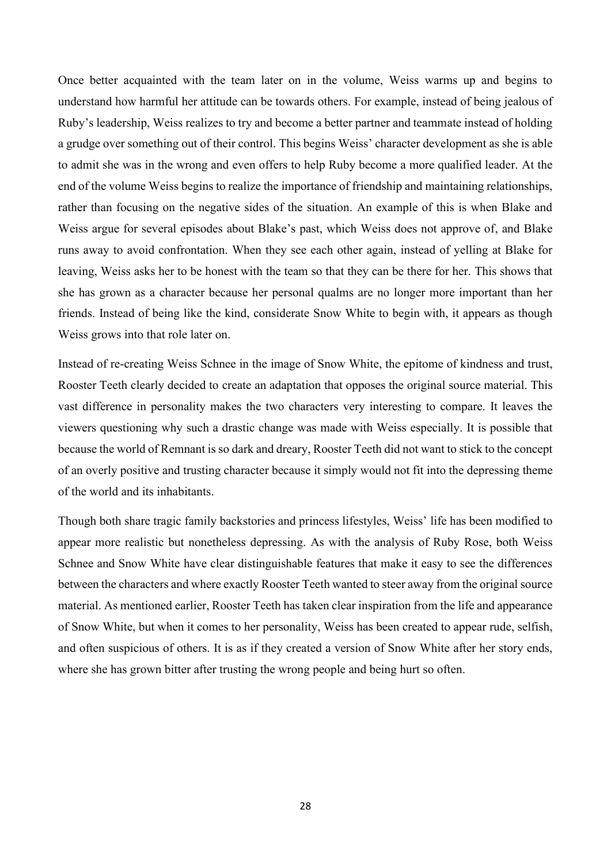Once better acquainted with the team later on in the volume, Weiss warms up and begins to understand how harmful her attitude can be towards others. For example, instead of being jealous of Ruby's leadership, Weiss realizes to try and become a better partner and teammate instead of holding a grudge over something out of their control. This begins Weiss' character development as she is able to admit she was in the wrong and even offers to help Ruby become a more qualified leader. At the end of the volume Weiss begins to realize the importance of friendship and maintaining relationships, rather than focusing on the negative sides of the situation. An example of this is when Blake and Weiss argue for several episodes about Blake's past, which Weiss does not approve of, and Blake runs away to avoid confrontation. When they see each other again, instead of yelling at Blake for leaving, Weiss asks her to be honest with the team so that they can be there for her. This shows that she has grown as a character because her personal qualms are no longer more important than her friends. Instead of being like the kind, considerate Snow White to begin with, it appears as though Weiss grows into that role later on.

Instead of re-creating Weiss Schnee in the image of Snow White, the epitome of kindness and trust, Rooster Teeth clearly decided to create an adaptation that opposes the original source material. This vast difference in personality makes the two characters very interesting to compare. It leaves the viewers questioning why such a drastic change was made with Weiss especially. It is possible that because the world of Remnant is so dark and dreary, Rooster Teeth did not want to stick to the concept of an overly positive and trusting character because it simply would not fit into the depressing theme of the world and its inhabitants.

Though both share tragic family backstories and princess lifestyles, Weiss' life has been modified to appear more realistic but nonetheless depressing. As with the analysis of Ruby Rose, both Weiss Schnee and Snow White have clear distinguishable features that make it easy to see the differences between the characters and where exactly Rooster Teeth wanted to steer away from the original source material. As mentioned earlier, Rooster Teeth has taken clear inspiration from the life and appearance of Snow White, but when it comes to her personality, Weiss has been created to appear rude, selfish, and often suspicious of others. It is as if they created a version of Snow White after her story ends, where she has grown bitter after trusting the wrong people and being hurt so often.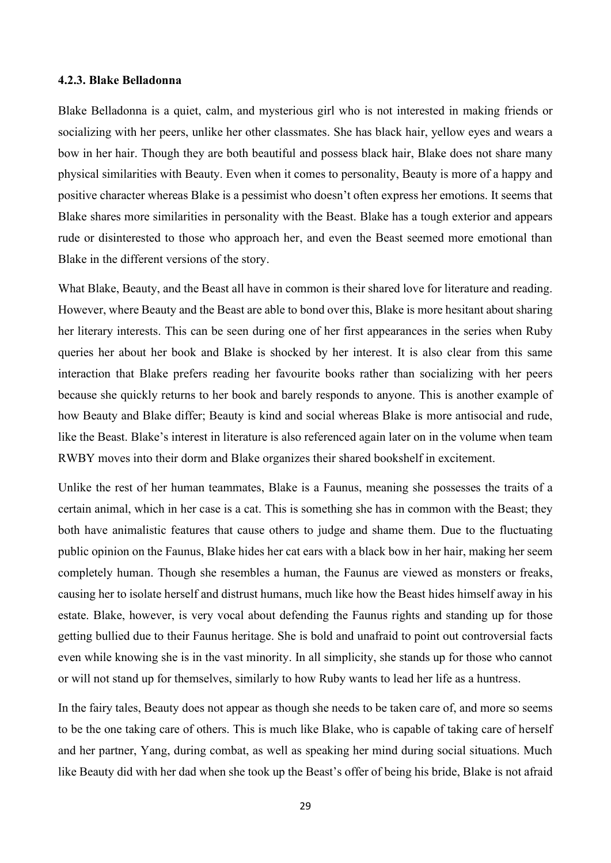## <span id="page-28-0"></span>**4.2.3. Blake Belladonna**

Blake Belladonna is a quiet, calm, and mysterious girl who is not interested in making friends or socializing with her peers, unlike her other classmates. She has black hair, yellow eyes and wears a bow in her hair. Though they are both beautiful and possess black hair, Blake does not share many physical similarities with Beauty. Even when it comes to personality, Beauty is more of a happy and positive character whereas Blake is a pessimist who doesn't often express her emotions. It seems that Blake shares more similarities in personality with the Beast. Blake has a tough exterior and appears rude or disinterested to those who approach her, and even the Beast seemed more emotional than Blake in the different versions of the story.

What Blake, Beauty, and the Beast all have in common is their shared love for literature and reading. However, where Beauty and the Beast are able to bond over this, Blake is more hesitant about sharing her literary interests. This can be seen during one of her first appearances in the series when Ruby queries her about her book and Blake is shocked by her interest. It is also clear from this same interaction that Blake prefers reading her favourite books rather than socializing with her peers because she quickly returns to her book and barely responds to anyone. This is another example of how Beauty and Blake differ; Beauty is kind and social whereas Blake is more antisocial and rude, like the Beast. Blake's interest in literature is also referenced again later on in the volume when team RWBY moves into their dorm and Blake organizes their shared bookshelf in excitement.

Unlike the rest of her human teammates, Blake is a Faunus, meaning she possesses the traits of a certain animal, which in her case is a cat. This is something she has in common with the Beast; they both have animalistic features that cause others to judge and shame them. Due to the fluctuating public opinion on the Faunus, Blake hides her cat ears with a black bow in her hair, making her seem completely human. Though she resembles a human, the Faunus are viewed as monsters or freaks, causing her to isolate herself and distrust humans, much like how the Beast hides himself away in his estate. Blake, however, is very vocal about defending the Faunus rights and standing up for those getting bullied due to their Faunus heritage. She is bold and unafraid to point out controversial facts even while knowing she is in the vast minority. In all simplicity, she stands up for those who cannot or will not stand up for themselves, similarly to how Ruby wants to lead her life as a huntress.

In the fairy tales, Beauty does not appear as though she needs to be taken care of, and more so seems to be the one taking care of others. This is much like Blake, who is capable of taking care of herself and her partner, Yang, during combat, as well as speaking her mind during social situations. Much like Beauty did with her dad when she took up the Beast's offer of being his bride, Blake is not afraid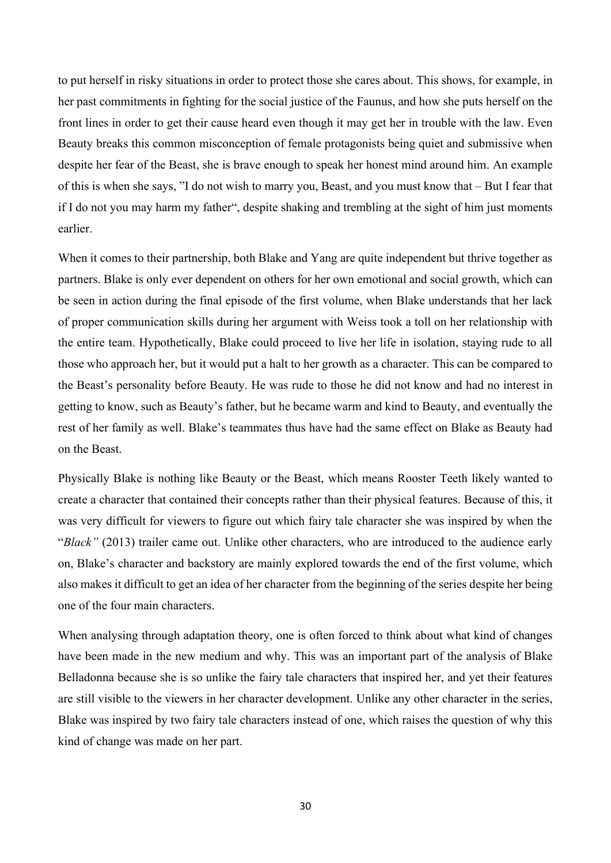to put herself in risky situations in order to protect those she cares about. This shows, for example, in her past commitments in fighting for the social justice of the Faunus, and how she puts herself on the front lines in order to get their cause heard even though it may get her in trouble with the law. Even Beauty breaks this common misconception of female protagonists being quiet and submissive when despite her fear of the Beast, she is brave enough to speak her honest mind around him. An example of this is when she says, "I do not wish to marry you, Beast, and you must know that – But I fear that if I do not you may harm my father", despite shaking and trembling at the sight of him just moments earlier.

When it comes to their partnership, both Blake and Yang are quite independent but thrive together as partners. Blake is only ever dependent on others for her own emotional and social growth, which can be seen in action during the final episode of the first volume, when Blake understands that her lack of proper communication skills during her argument with Weiss took a toll on her relationship with the entire team. Hypothetically, Blake could proceed to live her life in isolation, staying rude to all those who approach her, but it would put a halt to her growth as a character. This can be compared to the Beast's personality before Beauty. He was rude to those he did not know and had no interest in getting to know, such as Beauty's father, but he became warm and kind to Beauty, and eventually the rest of her family as well. Blake's teammates thus have had the same effect on Blake as Beauty had on the Beast.

Physically Blake is nothing like Beauty or the Beast, which means Rooster Teeth likely wanted to create a character that contained their concepts rather than their physical features. Because of this, it was very difficult for viewers to figure out which fairy tale character she was inspired by when the "*Black"* (2013) trailer came out. Unlike other characters, who are introduced to the audience early on, Blake's character and backstory are mainly explored towards the end of the first volume, which also makes it difficult to get an idea of her character from the beginning of the series despite her being one of the four main characters.

When analysing through adaptation theory, one is often forced to think about what kind of changes have been made in the new medium and why. This was an important part of the analysis of Blake Belladonna because she is so unlike the fairy tale characters that inspired her, and yet their features are still visible to the viewers in her character development. Unlike any other character in the series, Blake was inspired by two fairy tale characters instead of one, which raises the question of why this kind of change was made on her part.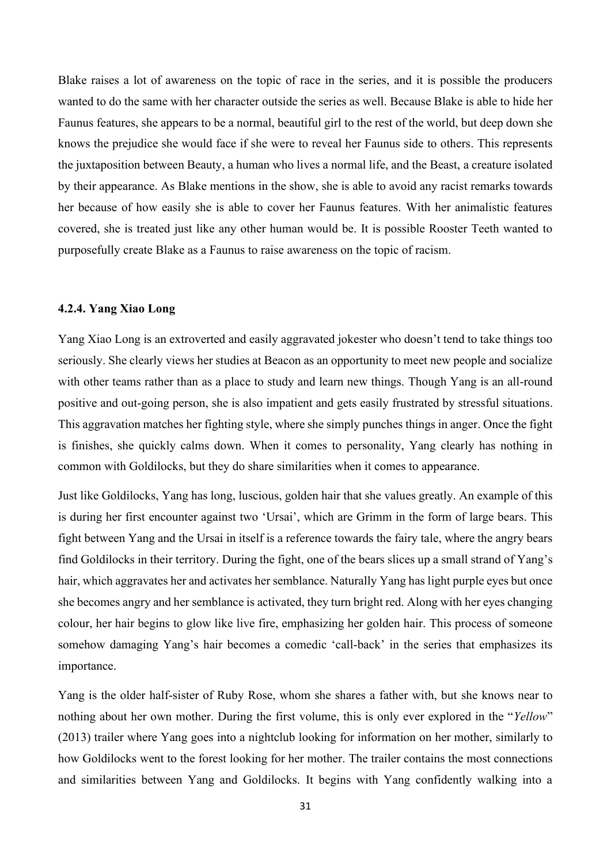Blake raises a lot of awareness on the topic of race in the series, and it is possible the producers wanted to do the same with her character outside the series as well. Because Blake is able to hide her Faunus features, she appears to be a normal, beautiful girl to the rest of the world, but deep down she knows the prejudice she would face if she were to reveal her Faunus side to others. This represents the juxtaposition between Beauty, a human who lives a normal life, and the Beast, a creature isolated by their appearance. As Blake mentions in the show, she is able to avoid any racist remarks towards her because of how easily she is able to cover her Faunus features. With her animalistic features covered, she is treated just like any other human would be. It is possible Rooster Teeth wanted to purposefully create Blake as a Faunus to raise awareness on the topic of racism.

# <span id="page-30-0"></span>**4.2.4. Yang Xiao Long**

Yang Xiao Long is an extroverted and easily aggravated jokester who doesn't tend to take things too seriously. She clearly views her studies at Beacon as an opportunity to meet new people and socialize with other teams rather than as a place to study and learn new things. Though Yang is an all-round positive and out-going person, she is also impatient and gets easily frustrated by stressful situations. This aggravation matches her fighting style, where she simply punches things in anger. Once the fight is finishes, she quickly calms down. When it comes to personality, Yang clearly has nothing in common with Goldilocks, but they do share similarities when it comes to appearance.

Just like Goldilocks, Yang has long, luscious, golden hair that she values greatly. An example of this is during her first encounter against two 'Ursai', which are Grimm in the form of large bears. This fight between Yang and the Ursai in itself is a reference towards the fairy tale, where the angry bears find Goldilocks in their territory. During the fight, one of the bears slices up a small strand of Yang's hair, which aggravates her and activates her semblance. Naturally Yang has light purple eyes but once she becomes angry and her semblance is activated, they turn bright red. Along with her eyes changing colour, her hair begins to glow like live fire, emphasizing her golden hair. This process of someone somehow damaging Yang's hair becomes a comedic 'call-back' in the series that emphasizes its importance.

Yang is the older half-sister of Ruby Rose, whom she shares a father with, but she knows near to nothing about her own mother. During the first volume, this is only ever explored in the "*Yellow*" (2013) trailer where Yang goes into a nightclub looking for information on her mother, similarly to how Goldilocks went to the forest looking for her mother. The trailer contains the most connections and similarities between Yang and Goldilocks. It begins with Yang confidently walking into a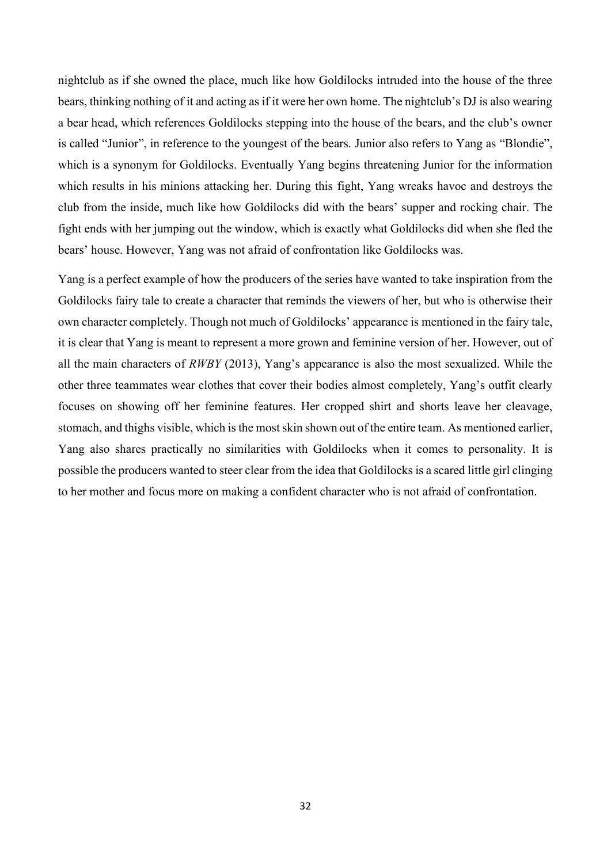nightclub as if she owned the place, much like how Goldilocks intruded into the house of the three bears, thinking nothing of it and acting as if it were her own home. The nightclub's DJ is also wearing a bear head, which references Goldilocks stepping into the house of the bears, and the club's owner is called "Junior", in reference to the youngest of the bears. Junior also refers to Yang as "Blondie", which is a synonym for Goldilocks. Eventually Yang begins threatening Junior for the information which results in his minions attacking her. During this fight, Yang wreaks havoc and destroys the club from the inside, much like how Goldilocks did with the bears' supper and rocking chair. The fight ends with her jumping out the window, which is exactly what Goldilocks did when she fled the bears' house. However, Yang was not afraid of confrontation like Goldilocks was.

Yang is a perfect example of how the producers of the series have wanted to take inspiration from the Goldilocks fairy tale to create a character that reminds the viewers of her, but who is otherwise their own character completely. Though not much of Goldilocks' appearance is mentioned in the fairy tale, it is clear that Yang is meant to represent a more grown and feminine version of her. However, out of all the main characters of *RWBY* (2013), Yang's appearance is also the most sexualized. While the other three teammates wear clothes that cover their bodies almost completely, Yang's outfit clearly focuses on showing off her feminine features. Her cropped shirt and shorts leave her cleavage, stomach, and thighs visible, which is the most skin shown out of the entire team. As mentioned earlier, Yang also shares practically no similarities with Goldilocks when it comes to personality. It is possible the producers wanted to steer clear from the idea that Goldilocks is a scared little girl clinging to her mother and focus more on making a confident character who is not afraid of confrontation.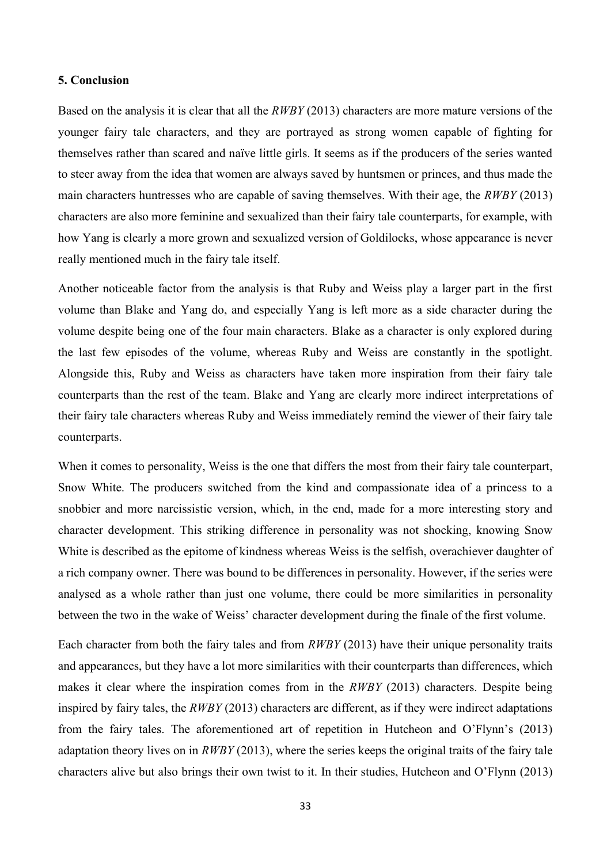# <span id="page-32-0"></span>**5. Conclusion**

Based on the analysis it is clear that all the *RWBY* (2013) characters are more mature versions of the younger fairy tale characters, and they are portrayed as strong women capable of fighting for themselves rather than scared and naïve little girls. It seems as if the producers of the series wanted to steer away from the idea that women are always saved by huntsmen or princes, and thus made the main characters huntresses who are capable of saving themselves. With their age, the *RWBY* (2013) characters are also more feminine and sexualized than their fairy tale counterparts, for example, with how Yang is clearly a more grown and sexualized version of Goldilocks, whose appearance is never really mentioned much in the fairy tale itself.

Another noticeable factor from the analysis is that Ruby and Weiss play a larger part in the first volume than Blake and Yang do, and especially Yang is left more as a side character during the volume despite being one of the four main characters. Blake as a character is only explored during the last few episodes of the volume, whereas Ruby and Weiss are constantly in the spotlight. Alongside this, Ruby and Weiss as characters have taken more inspiration from their fairy tale counterparts than the rest of the team. Blake and Yang are clearly more indirect interpretations of their fairy tale characters whereas Ruby and Weiss immediately remind the viewer of their fairy tale counterparts.

When it comes to personality, Weiss is the one that differs the most from their fairy tale counterpart, Snow White. The producers switched from the kind and compassionate idea of a princess to a snobbier and more narcissistic version, which, in the end, made for a more interesting story and character development. This striking difference in personality was not shocking, knowing Snow White is described as the epitome of kindness whereas Weiss is the selfish, overachiever daughter of a rich company owner. There was bound to be differences in personality. However, if the series were analysed as a whole rather than just one volume, there could be more similarities in personality between the two in the wake of Weiss' character development during the finale of the first volume.

Each character from both the fairy tales and from *RWBY* (2013) have their unique personality traits and appearances, but they have a lot more similarities with their counterparts than differences, which makes it clear where the inspiration comes from in the *RWBY* (2013) characters. Despite being inspired by fairy tales, the *RWBY* (2013) characters are different, as if they were indirect adaptations from the fairy tales. The aforementioned art of repetition in Hutcheon and O'Flynn's (2013) adaptation theory lives on in *RWBY* (2013), where the series keeps the original traits of the fairy tale characters alive but also brings their own twist to it. In their studies, Hutcheon and O'Flynn (2013)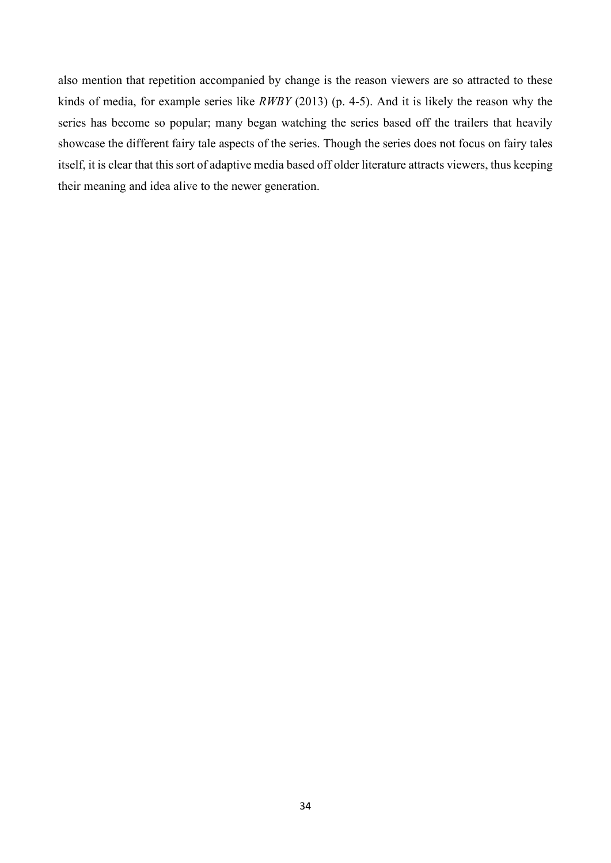also mention that repetition accompanied by change is the reason viewers are so attracted to these kinds of media, for example series like *RWBY* (2013) (p. 4-5). And it is likely the reason why the series has become so popular; many began watching the series based off the trailers that heavily showcase the different fairy tale aspects of the series. Though the series does not focus on fairy tales itself, it is clear that this sort of adaptive media based off older literature attracts viewers, thus keeping their meaning and idea alive to the newer generation.